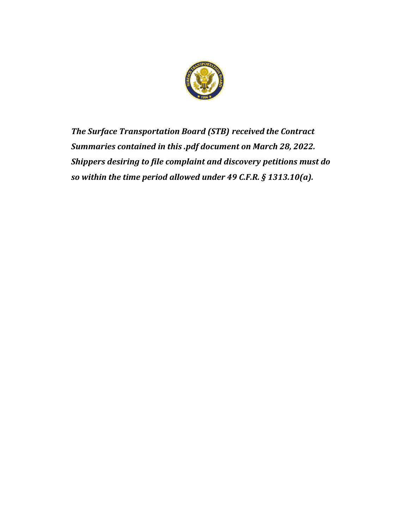

*The Surface Transportation Board (STB) received the Contract Summaries contained in this .pdf document on March 28, 2022. Shippers desiring to file complaint and discovery petitions must do so within the time period allowed under 49 C.F.R. § 1313.10(a).*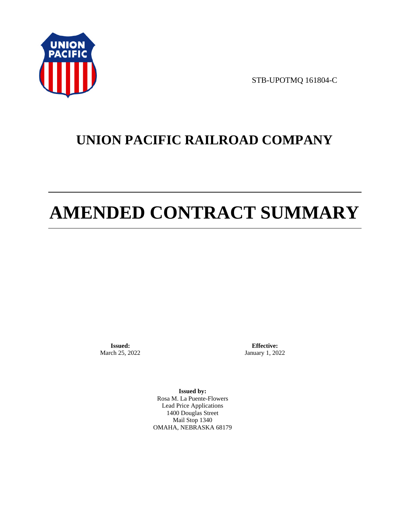

STB-UPOTMQ 161804-C

# **UNION PACIFIC RAILROAD COMPANY**

# **AMENDED CONTRACT SUMMARY**

**Issued:**  March 25, 2022

**Effective:** January 1, 2022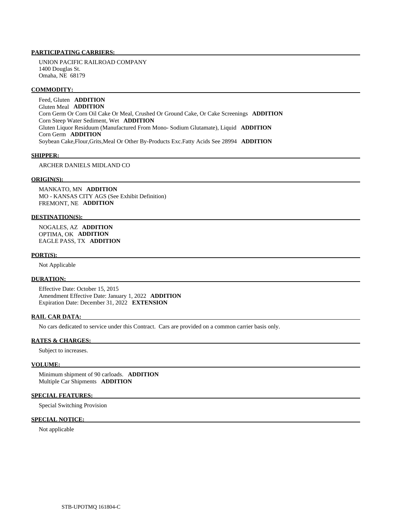UNION PACIFIC RAILROAD COMPANY 1400 Douglas St. Omaha, NE 68179

#### **COMMODITY:**

 Feed, Gluten **ADDITION**  Gluten Meal **ADDITION**  Corn Germ Or Corn Oil Cake Or Meal, Crushed Or Ground Cake, Or Cake Screenings **ADDITION**  Corn Steep Water Sediment, Wet **ADDITION**  Gluten Liquor Residuum (Manufactured From Mono- Sodium Glutamate), Liquid **ADDITION**  Corn Germ **ADDITION**  Soybean Cake,Flour,Grits,Meal Or Other By-Products Exc.Fatty Acids See 28994 **ADDITION** 

#### **SHIPPER:**

#### ARCHER DANIELS MIDLAND CO

#### **ORIGIN(S):**

 MANKATO, MN **ADDITION**  MO - KANSAS CITY AGS (See Exhibit Definition) FREMONT, NE **ADDITION** 

### **DESTINATION(S):**

 NOGALES, AZ **ADDITION**  OPTIMA, OK **ADDITION**  EAGLE PASS, TX **ADDITION** 

#### **PORT(S):**

Not Applicable

#### **DURATION:**

 Effective Date: October 15, 2015 Amendment Effective Date: January 1, 2022 **ADDITION**  Expiration Date: December 31, 2022 **EXTENSION** 

# **RAIL CAR DATA:**

No cars dedicated to service under this Contract. Cars are provided on a common carrier basis only.

#### **RATES & CHARGES:**

Subject to increases.

#### **VOLUME:**

 Minimum shipment of 90 carloads. **ADDITION**  Multiple Car Shipments **ADDITION** 

#### **SPECIAL FEATURES:**

Special Switching Provision

# **SPECIAL NOTICE:**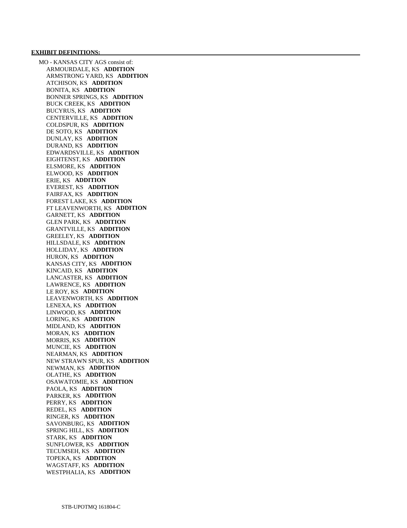#### **EXHIBIT DEFINITIONS:**

 MO - KANSAS CITY AGS consist of: ARMOURDALE, KS **ADDITION**  ARMSTRONG YARD, KS **ADDITION**  ATCHISON, KS **ADDITION**  BONITA, KS **ADDITION**  BONNER SPRINGS, KS **ADDITION**  BUCK CREEK, KS **ADDITION**  BUCYRUS, KS **ADDITION**  CENTERVILLE, KS **ADDITION**  COLDSPUR, KS **ADDITION**  DE SOTO, KS **ADDITION**  DUNLAY, KS **ADDITION**  DURAND, KS **ADDITION**  EDWARDSVILLE, KS **ADDITION**  EIGHTENST, KS **ADDITION**  ELSMORE, KS **ADDITION**  ELWOOD, KS **ADDITION**  ERIE, KS **ADDITION**  EVEREST, KS **ADDITION**  FAIRFAX, KS **ADDITION**  FOREST LAKE, KS **ADDITION**  FT LEAVENWORTH, KS **ADDITION**  GARNETT, KS **ADDITION**  GLEN PARK, KS **ADDITION**  GRANTVILLE, KS **ADDITION**  GREELEY, KS **ADDITION**  HILLSDALE, KS **ADDITION**  HOLLIDAY, KS **ADDITION**  HURON, KS **ADDITION**  KANSAS CITY, KS **ADDITION**  KINCAID, KS **ADDITION**  LANCASTER, KS **ADDITION**  LAWRENCE, KS **ADDITION**  LE ROY, KS **ADDITION**  LEAVENWORTH, KS **ADDITION**  LENEXA, KS **ADDITION**  LINWOOD, KS **ADDITION**  LORING, KS **ADDITION**  MIDLAND, KS **ADDITION**  MORAN, KS **ADDITION**  MORRIS, KS **ADDITION**  MUNCIE, KS **ADDITION**  NEARMAN, KS **ADDITION**  NEW STRAWN SPUR, KS **ADDITION**  NEWMAN, KS **ADDITION**  OLATHE, KS **ADDITION**  OSAWATOMIE, KS **ADDITION**  PAOLA, KS **ADDITION**  PARKER, KS **ADDITION**  PERRY, KS **ADDITION**  REDEL, KS **ADDITION**  RINGER, KS **ADDITION**  SAVONBURG, KS **ADDITION**  SPRING HILL, KS **ADDITION**  STARK, KS **ADDITION**  SUNFLOWER, KS **ADDITION**  TECUMSEH, KS **ADDITION**  TOPEKA, KS **ADDITION**  WAGSTAFF, KS **ADDITION**  WESTPHALIA, KS **ADDITION**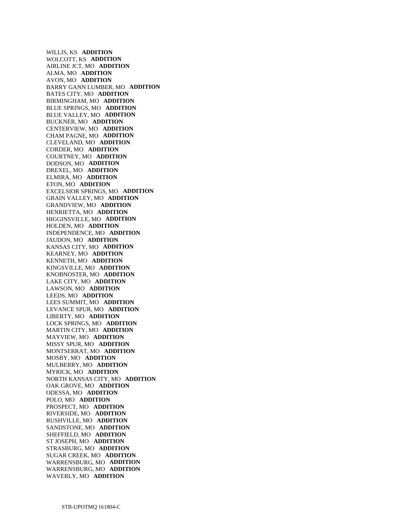WILLIS, KS **ADDITION**  WOLCOTT, KS **ADDITION**  AIRLINE JCT, MO **ADDITION**  ALMA, MO **ADDITION**  AVON, MO **ADDITION**  BARRY GANN LUMBER, MO **ADDITION**  BATES CITY, MO **ADDITION**  BIRMINGHAM, MO **ADDITION**  BLUE SPRINGS, MO **ADDITION**  BLUE VALLEY, MO **ADDITION**  BUCKNER, MO **ADDITION**  CENTERVIEW, MO **ADDITION**  CHAM PAGNE, MO **ADDITION**  CLEVELAND, MO **ADDITION**  CORDER, MO **ADDITION**  COURTNEY, MO **ADDITION**  DODSON, MO **ADDITION**  DREXEL, MO **ADDITION**  ELMIRA, MO **ADDITION**  ETON, MO **ADDITION**  EXCELSIOR SPRINGS, MO **ADDITION**  GRAIN VALLEY, MO **ADDITION**  GRANDVIEW, MO **ADDITION**  HENRIETTA, MO **ADDITION**  HIGGINSVILLE, MO **ADDITION**  HOLDEN, MO **ADDITION**  INDEPENDENCE, MO **ADDITION**  JAUDON, MO **ADDITION**  KANSAS CITY, MO **ADDITION**  KEARNEY, MO **ADDITION**  KENNETH, MO **ADDITION**  KINGSVILLE, MO **ADDITION**  KNOBNOSTER, MO **ADDITION**  LAKE CITY, MO **ADDITION**  LAWSON, MO **ADDITION**  LEEDS, MO **ADDITION**  LEES SUMMIT, MO **ADDITION**  LEVANCE SPUR, MO **ADDITION**  LIBERTY, MO **ADDITION**  LOCK SPRINGS, MO **ADDITION**  MARTIN CITY, MO **ADDITION**  MAYVIEW, MO **ADDITION**  MISSY SPUR, MO **ADDITION**  MONTSERRAT, MO **ADDITION**  MOSBY, MO **ADDITION**  MULBERRY, MO **ADDITION**  MYRICK, MO **ADDITION**  NORTH KANSAS CITY, MO **ADDITION**  OAK GROVE, MO **ADDITION**  ODESSA, MO **ADDITION**  POLO, MO **ADDITION**  PROSPECT, MO **ADDITION**  RIVERSIDE, MO **ADDITION**  RUSHVILLE, MO **ADDITION**  SANDSTONE, MO **ADDITION**  SHEFFIELD, MO **ADDITION**  ST JOSEPH, MO **ADDITION**  STRASBURG, MO **ADDITION**  SUGAR CREEK, MO **ADDITION**  WARRENSBURG, MO **ADDITION**  WARRENSBURG, MO **ADDITION**  WAVERLY, MO **ADDITION**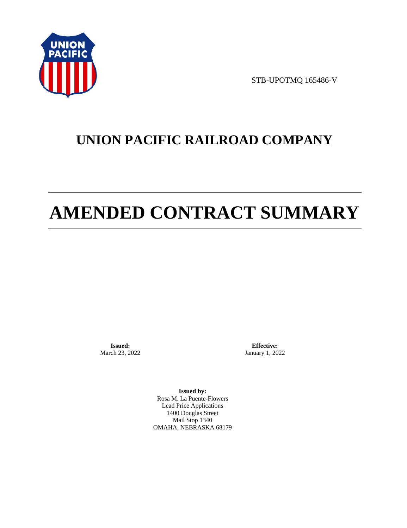

STB-UPOTMQ 165486-V

# **UNION PACIFIC RAILROAD COMPANY**

# **AMENDED CONTRACT SUMMARY**

**Issued:**  March 23, 2022

**Effective:** January 1, 2022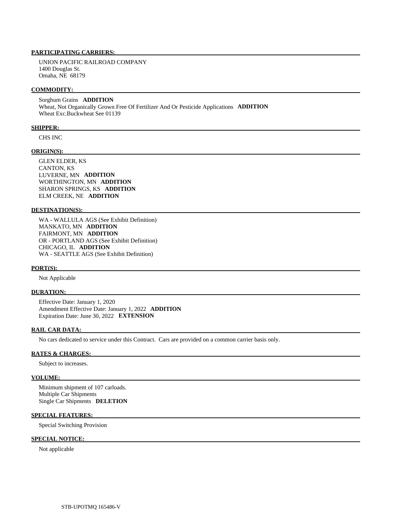UNION PACIFIC RAILROAD COMPANY 1400 Douglas St. Omaha, NE 68179

#### **COMMODITY:**

 Sorghum Grains **ADDITION**  Wheat, Not Organically Grown Free Of Fertilizer And Or Pesticide Applications **ADDITION**  Wheat Exc.Buckwheat See 01139

#### **SHIPPER:**

CHS INC

# **ORIGIN(S):**

 GLEN ELDER, KS CANTON, KS LUVERNE, MN **ADDITION**  WORTHINGTON, MN **ADDITION**  SHARON SPRINGS, KS **ADDITION**  ELM CREEK, NE **ADDITION** 

#### **DESTINATION(S):**

 WA - WALLULA AGS (See Exhibit Definition) MANKATO, MN **ADDITION**  FAIRMONT, MN **ADDITION**  OR - PORTLAND AGS (See Exhibit Definition) CHICAGO, IL **ADDITION**  WA - SEATTLE AGS (See Exhibit Definition)

#### **PORT(S):**

Not Applicable

#### **DURATION:**

 Effective Date: January 1, 2020 Amendment Effective Date: January 1, 2022 **ADDITION**  Expiration Date: June 30, 2022 **EXTENSION** 

# **RAIL CAR DATA:**

No cars dedicated to service under this Contract. Cars are provided on a common carrier basis only.

# **RATES & CHARGES:**

Subject to increases.

#### **VOLUME:**

 Minimum shipment of 107 carloads. Multiple Car Shipments Single Car Shipments **DELETION** 

# **SPECIAL FEATURES:**

Special Switching Provision

#### **SPECIAL NOTICE:**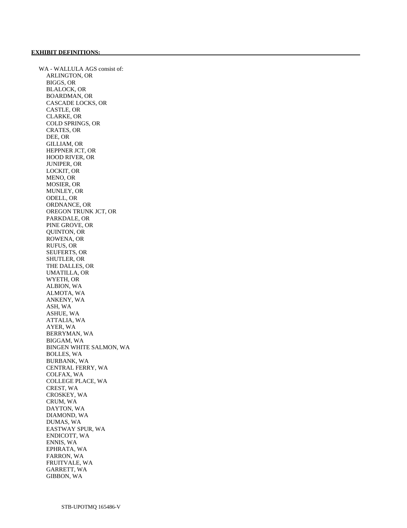WA - WALLULA AGS consist of: ARLINGTON, OR BIGGS, OR BLALOCK, OR BOARDMAN, OR CASCADE LOCKS, OR CASTLE, OR CLARKE, OR COLD SPRINGS, OR CRATES, OR DEE, OR GILLIAM, OR HEPPNER JCT, OR HOOD RIVER, OR JUNIPER, OR LOCKIT, OR MENO, OR MOSIER, OR MUNLEY, OR ODELL, OR ORDNANCE, OR OREGON TRUNK JCT, OR PARKDALE, OR PINE GROVE, OR QUINTON, OR ROWENA, OR RUFUS, OR SEUFERTS, OR SHUTLER, OR THE DALLES, OR UMATILLA, OR WYETH, OR ALBION, WA ALMOTA, WA ANKENY, WA ASH, WA ASHUE, WA ATTALIA, WA AYER, WA BERRYMAN, WA BIGGAM, WA BINGEN WHITE SALMON, WA BOLLES, WA BURBANK, WA CENTRAL FERRY, WA COLFAX, WA COLLEGE PLACE, WA CREST, WA CROSKEY, WA CRUM, WA DAYTON, WA DIAMOND, WA DUMAS, WA EASTWAY SPUR, WA ENDICOTT, WA ENNIS, WA EPHRATA, WA FARRON, WA FRUITVALE, WA GARRETT, WA GIBBON, WA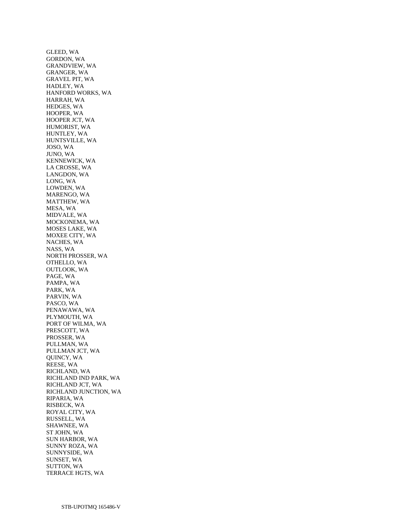GLEED, WA GORDON, WA GRANDVIEW, WA GRANGER, WA GRAVEL PIT, WA HADLEY, WA HANFORD WORKS, WA HARRAH, WA HEDGES, WA HOOPER, WA HOOPER JCT, WA HUMORIST, WA HUNTLEY, WA HUNTSVILLE, WA JOSO, WA JUNO, WA KENNEWICK, WA LA CROSSE, WA LANGDON, WA LONG, WA LOWDEN, WA MARENGO, WA MATTHEW, WA MESA, WA MIDVALE, WA MOCKONEMA, WA MOSES LAKE, WA MOXEE CITY, WA NACHES, WA NASS, WA NORTH PROSSER, WA OTHELLO, WA OUTLOOK, WA PAGE, WA PAMPA, WA PARK, WA PARVIN, WA PASCO, WA PENAWAWA, WA PLYMOUTH, WA PORT OF WILMA, WA PRESCOTT, WA PROSSER, WA PULLMAN, WA PULLMAN JCT, WA QUINCY, WA REESE, WA RICHLAND, WA RICHLAND IND PARK, WA RICHLAND JCT, WA RICHLAND JUNCTION, WA RIPARIA, WA RISBECK, WA ROYAL CITY, WA RUSSELL, WA SHAWNEE, WA ST JOHN, WA SUN HARBOR, WA SUNNY ROZA, WA SUNNYSIDE, WA SUNSET, WA SUTTON, WA TERRACE HGTS, WA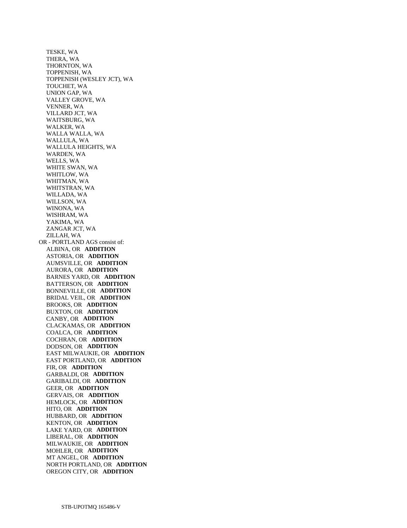TESKE, WA THERA, WA THORNTON, WA TOPPENISH, WA TOPPENISH (WESLEY JCT), WA TOUCHET, WA UNION GAP, WA VALLEY GROVE, WA VENNER, WA VILLARD JCT, WA WAITSBURG, WA WALKER, WA WALLA WALLA, WA WALLULA, WA WALLULA HEIGHTS, WA WARDEN, WA WELLS, WA WHITE SWAN, WA WHITLOW, WA WHITMAN, WA WHITSTRAN, WA WILLADA, WA WILLSON, WA WINONA, WA WISHRAM, WA YAKIMA, WA ZANGAR JCT, WA ZILLAH, WA OR - PORTLAND AGS consist of: ALBINA, OR **ADDITION**  ASTORIA, OR **ADDITION**  AUMSVILLE, OR **ADDITION**  AURORA, OR **ADDITION**  BARNES YARD, OR **ADDITION**  BATTERSON, OR **ADDITION**  BONNEVILLE, OR **ADDITION**  BRIDAL VEIL, OR **ADDITION**  BROOKS, OR **ADDITION**  BUXTON, OR **ADDITION**  CANBY, OR **ADDITION**  CLACKAMAS, OR **ADDITION**  COALCA, OR **ADDITION**  COCHRAN, OR **ADDITION**  DODSON, OR **ADDITION**  EAST MILWAUKIE, OR **ADDITION**  EAST PORTLAND, OR **ADDITION**  FIR, OR **ADDITION**  GARBALDI, OR **ADDITION**  GARIBALDI, OR **ADDITION**  GEER, OR **ADDITION**  GERVAIS, OR **ADDITION**  HEMLOCK, OR **ADDITION**  HITO, OR **ADDITION**  HUBBARD, OR **ADDITION**  KENTON, OR **ADDITION**  LAKE YARD, OR **ADDITION**  LIBERAL, OR **ADDITION**  MILWAUKIE, OR **ADDITION**  MOHLER, OR **ADDITION**  MT ANGEL, OR **ADDITION**  NORTH PORTLAND, OR **ADDITION**  OREGON CITY, OR **ADDITION**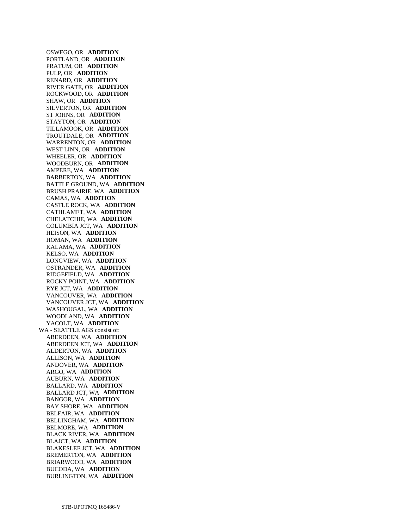OSWEGO, OR **ADDITION**  PORTLAND, OR **ADDITION**  PRATUM, OR **ADDITION**  PULP, OR **ADDITION**  RENARD, OR **ADDITION**  RIVER GATE, OR **ADDITION**  ROCKWOOD, OR **ADDITION**  SHAW, OR **ADDITION**  SILVERTON, OR **ADDITION**  ST JOHNS, OR **ADDITION**  STAYTON, OR **ADDITION**  TILLAMOOK, OR **ADDITION**  TROUTDALE, OR **ADDITION**  WARRENTON, OR **ADDITION**  WEST LINN, OR **ADDITION**  WHEELER, OR **ADDITION**  WOODBURN, OR **ADDITION**  AMPERE, WA **ADDITION**  BARBERTON, WA **ADDITION**  BATTLE GROUND, WA **ADDITION**  BRUSH PRAIRIE, WA **ADDITION**  CAMAS, WA **ADDITION**  CASTLE ROCK, WA **ADDITION**  CATHLAMET, WA **ADDITION**  CHELATCHIE, WA **ADDITION**  COLUMBIA JCT, WA **ADDITION**  HEISON, WA **ADDITION**  HOMAN, WA **ADDITION**  KALAMA, WA **ADDITION**  KELSO, WA **ADDITION**  LONGVIEW, WA **ADDITION**  OSTRANDER, WA **ADDITION**  RIDGEFIELD, WA **ADDITION**  ROCKY POINT, WA **ADDITION**  RYE JCT, WA **ADDITION**  VANCOUVER, WA **ADDITION**  VANCOUVER JCT, WA **ADDITION**  WASHOUGAL, WA **ADDITION**  WOODLAND, WA **ADDITION**  YACOLT, WA **ADDITION**  WA - SEATTLE AGS consist of: ABERDEEN, WA **ADDITION**  ABERDEEN JCT, WA **ADDITION**  ALDERTON, WA **ADDITION**  ALLISON, WA **ADDITION**  ANDOVER, WA **ADDITION**  ARGO, WA **ADDITION**  AUBURN, WA **ADDITION**  BALLARD, WA **ADDITION**  BALLARD JCT, WA **ADDITION**  BANGOR, WA **ADDITION**  BAY SHORE, WA **ADDITION**  BELFAIR, WA **ADDITION**  BELLINGHAM, WA **ADDITION**  BELMORE, WA **ADDITION**  BLACK RIVER, WA **ADDITION**  BLAJCT, WA **ADDITION**  BLAKESLEE JCT, WA **ADDITION**  BREMERTON, WA **ADDITION**  BRIARWOOD, WA **ADDITION**  BUCODA, WA **ADDITION**  BURLINGTON, WA **ADDITION**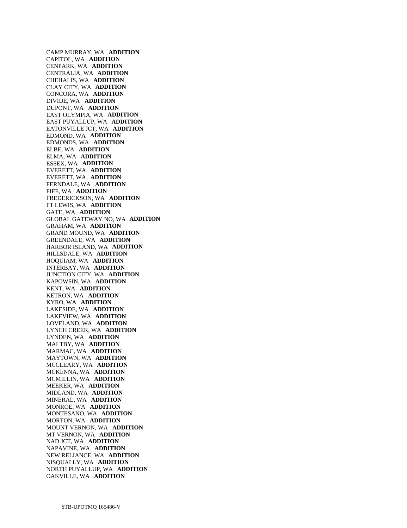CAMP MURRAY, WA **ADDITION**  CAPITOL, WA **ADDITION**  CENPARK, WA **ADDITION**  CENTRALIA, WA **ADDITION**  CHEHALIS, WA **ADDITION**  CLAY CITY, WA **ADDITION**  CONCORA, WA **ADDITION**  DIVIDE, WA **ADDITION**  DUPONT, WA **ADDITION**  EAST OLYMPIA, WA **ADDITION**  EAST PUYALLUP, WA **ADDITION**  EATONVILLE JCT, WA **ADDITION**  EDMOND, WA **ADDITION**  EDMONDS, WA **ADDITION**  ELBE, WA **ADDITION**  ELMA, WA **ADDITION**  ESSEX, WA **ADDITION**  EVERETT, WA **ADDITION**  EVERETT, WA **ADDITION**  FERNDALE, WA **ADDITION**  FIFE, WA **ADDITION**  FREDERICKSON, WA **ADDITION**  FT LEWIS, WA **ADDITION**  GATE, WA **ADDITION**  GLOBAL GATEWAY NO, WA **ADDITION**  GRAHAM, WA **ADDITION**  GRAND MOUND, WA **ADDITION**  GREENDALE, WA **ADDITION**  HARBOR ISLAND, WA **ADDITION**  HILLSDALE, WA **ADDITION**  HOQUIAM, WA **ADDITION**  INTERBAY, WA **ADDITION**  JUNCTION CITY, WA **ADDITION**  KAPOWSIN, WA **ADDITION**  KENT, WA **ADDITION**  KETRON, WA **ADDITION**  KYRO, WA **ADDITION**  LAKESIDE, WA **ADDITION**  LAKEVIEW, WA **ADDITION**  LOVELAND, WA **ADDITION**  LYNCH CREEK, WA **ADDITION**  LYNDEN, WA **ADDITION**  MALTBY, WA **ADDITION**  MARMAC, WA **ADDITION**  MAYTOWN, WA **ADDITION**  MCCLEARY, WA **ADDITION**  MCKENNA, WA **ADDITION**  MCMILLIN, WA **ADDITION**  MEEKER, WA **ADDITION**  MIDLAND, WA **ADDITION**  MINERAL, WA **ADDITION**  MONROE, WA **ADDITION**  MONTESANO, WA **ADDITION**  MORTON, WA **ADDITION**  MOUNT VERNON, WA **ADDITION**  MT VERNON, WA **ADDITION**  NAD JCT, WA **ADDITION**  NAPAVINE, WA **ADDITION**  NEW RELIANCE, WA **ADDITION**  NISQUALLY, WA **ADDITION**  NORTH PUYALLUP, WA **ADDITION**  OAKVILLE, WA **ADDITION**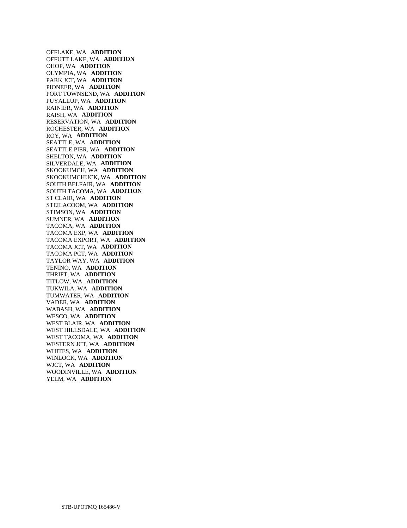OFFLAKE, WA **ADDITION**  OFFUTT LAKE, WA **ADDITION**  OHOP, WA **ADDITION**  OLYMPIA, WA **ADDITION**  PARK JCT, WA **ADDITION**  PIONEER, WA **ADDITION**  PORT TOWNSEND, WA **ADDITION**  PUYALLUP, WA **ADDITION**  RAINIER, WA **ADDITION**  RAISH, WA **ADDITION**  RESERVATION, WA **ADDITION**  ROCHESTER, WA **ADDITION**  ROY, WA **ADDITION**  SEATTLE, WA **ADDITION**  SEATTLE PIER, WA **ADDITION**  SHELTON, WA **ADDITION**  SILVERDALE, WA **ADDITION**  SKOOKUMCH, WA **ADDITION**  SKOOKUMCHUCK, WA **ADDITION**  SOUTH BELFAIR, WA **ADDITION**  SOUTH TACOMA, WA **ADDITION**  ST CLAIR, WA **ADDITION**  STEILACOOM, WA **ADDITION**  STIMSON, WA **ADDITION**  SUMNER, WA **ADDITION**  TACOMA, WA **ADDITION**  TACOMA EXP, WA **ADDITION**  TACOMA EXPORT, WA **ADDITION**  TACOMA JCT, WA **ADDITION**  TACOMA PCT, WA **ADDITION**  TAYLOR WAY, WA **ADDITION**  TENINO, WA **ADDITION**  THRIFT, WA **ADDITION**  TITLOW, WA **ADDITION**  TUKWILA, WA **ADDITION**  TUMWATER, WA **ADDITION**  VADER, WA **ADDITION**  WABASH, WA **ADDITION**  WESCO, WA **ADDITION**  WEST BLAIR, WA **ADDITION**  WEST HILLSDALE, WA **ADDITION**  WEST TACOMA, WA **ADDITION**  WESTERN JCT, WA **ADDITION**  WHITES, WA **ADDITION**  WINLOCK, WA **ADDITION**  WJCT, WA **ADDITION**  WOODINVILLE, WA **ADDITION**  YELM, WA **ADDITION**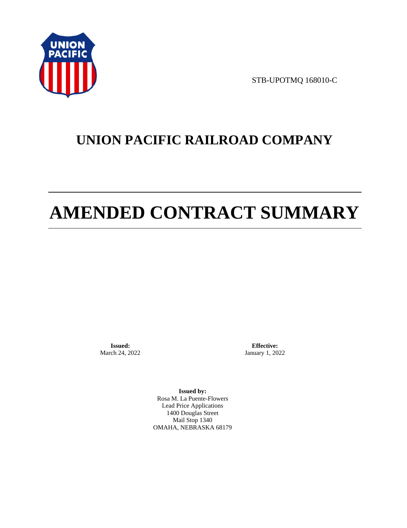

STB-UPOTMQ 168010-C

# **UNION PACIFIC RAILROAD COMPANY**

# **AMENDED CONTRACT SUMMARY**

**Issued:**  March 24, 2022

**Effective:** January 1, 2022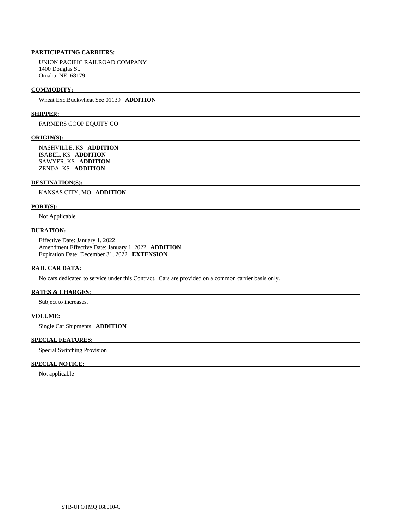UNION PACIFIC RAILROAD COMPANY 1400 Douglas St. Omaha, NE 68179

#### **COMMODITY:**

Wheat Exc.Buckwheat See 01139 **ADDITION** 

# **SHIPPER:**

FARMERS COOP EQUITY CO

#### **ORIGIN(S):**

 NASHVILLE, KS **ADDITION**  ISABEL, KS **ADDITION**  SAWYER, KS **ADDITION**  ZENDA, KS **ADDITION** 

#### **DESTINATION(S):**

KANSAS CITY, MO **ADDITION** 

#### **PORT(S):**

Not Applicable

# **DURATION:**

 Effective Date: January 1, 2022 Amendment Effective Date: January 1, 2022 **ADDITION**  Expiration Date: December 31, 2022 **EXTENSION** 

#### **RAIL CAR DATA:**

No cars dedicated to service under this Contract. Cars are provided on a common carrier basis only.

#### **RATES & CHARGES:**

Subject to increases.

# **VOLUME:**

Single Car Shipments **ADDITION** 

#### **SPECIAL FEATURES:**

Special Switching Provision

# **SPECIAL NOTICE:**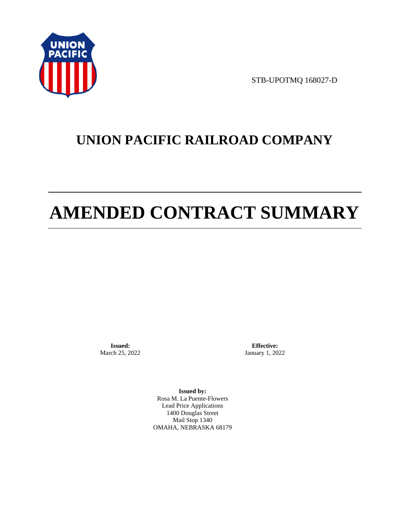

STB-UPOTMQ 168027-D

# **UNION PACIFIC RAILROAD COMPANY**

# **AMENDED CONTRACT SUMMARY**

**Issued:**  March 25, 2022

**Effective:** January 1, 2022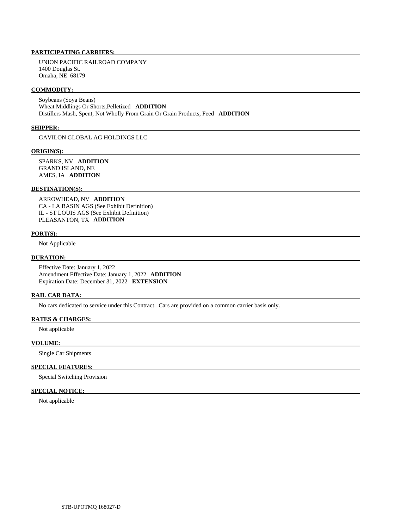UNION PACIFIC RAILROAD COMPANY 1400 Douglas St. Omaha, NE 68179

#### **COMMODITY:**

 Soybeans (Soya Beans) Wheat Middlings Or Shorts,Pelletized **ADDITION**  Distillers Mash, Spent, Not Wholly From Grain Or Grain Products, Feed **ADDITION** 

#### **SHIPPER:**

GAVILON GLOBAL AG HOLDINGS LLC

### **ORIGIN(S):**

 SPARKS, NV **ADDITION**  GRAND ISLAND, NE AMES, IA **ADDITION** 

# **DESTINATION(S):**

 ARROWHEAD, NV **ADDITION**  CA - LA BASIN AGS (See Exhibit Definition) IL - ST LOUIS AGS (See Exhibit Definition) PLEASANTON, TX **ADDITION** 

#### **PORT(S):**

Not Applicable

#### **DURATION:**

 Effective Date: January 1, 2022 Amendment Effective Date: January 1, 2022 **ADDITION**  Expiration Date: December 31, 2022 **EXTENSION** 

#### **RAIL CAR DATA:**

No cars dedicated to service under this Contract. Cars are provided on a common carrier basis only.

## **RATES & CHARGES:**

Not applicable

# **VOLUME:**

Single Car Shipments

# **SPECIAL FEATURES:**

Special Switching Provision

# **SPECIAL NOTICE:**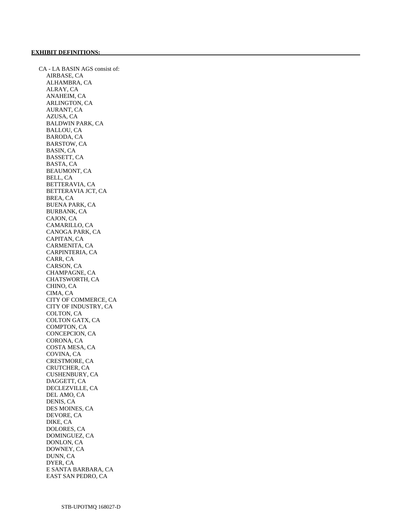CA - LA BASIN AGS consist of: AIRBASE, CA ALHAMBRA, CA ALRAY, CA ANAHEIM, CA ARLINGTON, CA AURANT, CA AZUSA, CA BALDWIN PARK, CA BALLOU, CA BARODA, CA BARSTOW, CA BASIN, CA BASSETT, CA BASTA, CA BEAUMONT, CA BELL, CA BETTERAVIA, CA BETTERAVIA JCT, CA BREA, CA BUENA PARK, CA BURBANK, CA CAJON, CA CAMARILLO, CA CANOGA PARK, CA CAPITAN, CA CARMENITA, CA CARPINTERIA, CA CARR, CA CARSON, CA CHAMPAGNE, CA CHATSWORTH, CA CHINO, CA CIMA, CA CITY OF COMMERCE, CA CITY OF INDUSTRY, CA COLTON, CA COLTON GATX, CA COMPTON, CA CONCEPCION, CA CORONA, CA COSTA MESA, CA COVINA, CA CRESTMORE, CA CRUTCHER, CA CUSHENBURY, CA DAGGETT, CA DECLEZVILLE, CA DEL AMO, CA DENIS, CA DES MOINES, CA DEVORE, CA DIKE, CA DOLORES, CA DOMINGUEZ, CA DONLON, CA DOWNEY, CA DUNN, CA DYER, CA E SANTA BARBARA, CA EAST SAN PEDRO, CA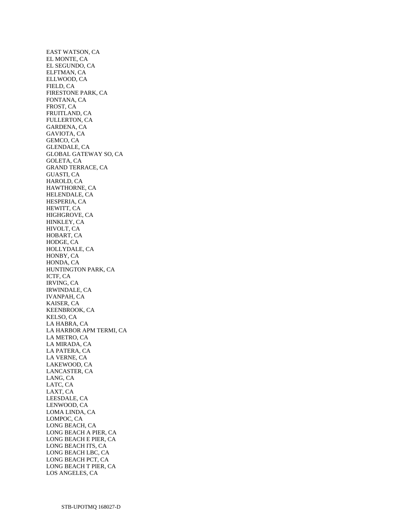EAST WATSON, CA EL MONTE, CA EL SEGUNDO, CA ELFTMAN, CA ELLWOOD, CA FIELD, CA FIRESTONE PARK, CA FONTANA, CA FROST, CA FRUITLAND, CA FULLERTON, CA GARDENA, CA GAVIOTA, CA GEMCO, CA GLENDALE, CA GLOBAL GATEWAY SO, CA GOLETA, CA GRAND TERRACE, CA GUASTI, CA HAROLD, CA HAWTHORNE, CA HELENDALE, CA HESPERIA, CA HEWITT, CA HIGHGROVE, CA HINKLEY, CA HIVOLT, CA HOBART, CA HODGE, CA HOLLYDALE, CA HONBY, CA HONDA, CA HUNTINGTON PARK, CA ICTF, CA IRVING, CA IRWINDALE, CA IVANPAH, CA KAISER, CA KEENBROOK, CA KELSO, CA LA HABRA, CA LA HARBOR APM TERMI, CA LA METRO, CA LA MIRADA, CA LA PATERA, CA LA VERNE, CA LAKEWOOD, CA LANCASTER, CA LANG, CA LATC, CA LAXT, CA LEESDALE, CA LENWOOD, CA LOMA LINDA, CA LOMPOC, CA LONG BEACH, CA LONG BEACH A PIER, CA LONG BEACH E PIER, CA LONG BEACH ITS, CA LONG BEACH LBC, CA LONG BEACH PCT, CA LONG BEACH T PIER, CA LOS ANGELES, CA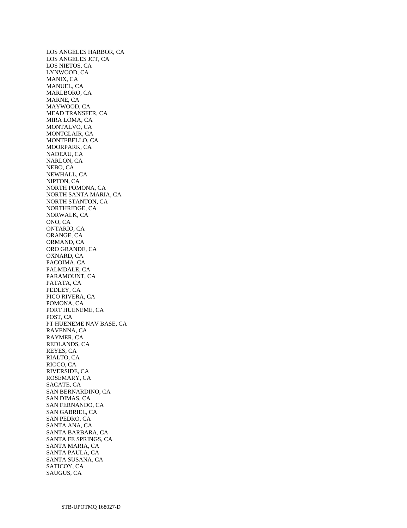LOS ANGELES HARBOR, CA LOS ANGELES JCT, CA LOS NIETOS, CA LYNWOOD, CA MANIX, CA MANUEL, CA MARLBORO, CA MARNE, CA MAYWOOD, CA MEAD TRANSFER, CA MIRA LOMA, CA MONTALVO, CA MONTCLAIR, CA MONTEBELLO, CA MOORPARK, CA NADEAU, CA NARLON, CA NEBO, CA NEWHALL, CA NIPTON, CA NORTH POMONA, CA NORTH SANTA MARIA, CA NORTH STANTON, CA NORTHRIDGE, CA NORWALK, CA ONO, CA ONTARIO, CA ORANGE, CA ORMAND, CA ORO GRANDE, CA OXNARD, CA PACOIMA, CA PALMDALE, CA PARAMOUNT, CA PATATA, CA PEDLEY, CA PICO RIVERA, CA POMONA, CA PORT HUENEME, CA POST, CA PT HUENEME NAV BASE, CA RAVENNA, CA RAYMER, CA REDLANDS, CA REYES, CA RIALTO, CA RIOCO, CA RIVERSIDE, CA ROSEMARY, CA SACATE, CA SAN BERNARDINO, CA SAN DIMAS, CA SAN FERNANDO, CA SAN GABRIEL, CA SAN PEDRO, CA SANTA ANA, CA SANTA BARBARA, CA SANTA FE SPRINGS, CA SANTA MARIA, CA SANTA PAULA, CA SANTA SUSANA, CA SATICOY, CA SAUGUS, CA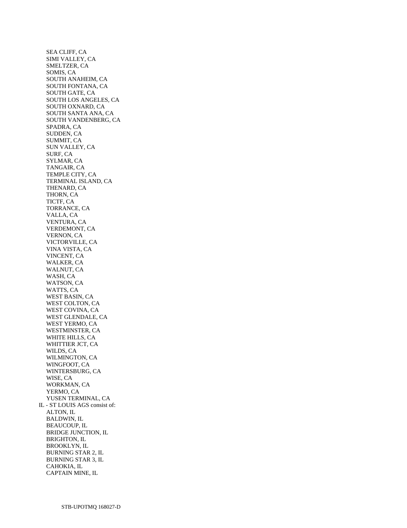SEA CLIFF, CA SIMI VALLEY, CA SMELTZER, CA SOMIS, CA SOUTH ANAHEIM, CA SOUTH FONTANA, CA SOUTH GATE, CA SOUTH LOS ANGELES, CA SOUTH OXNARD, CA SOUTH SANTA ANA, CA SOUTH VANDENBERG, CA SPADRA, CA SUDDEN, CA SUMMIT, CA SUN VALLEY, CA SURF, CA SYLMAR, CA TANGAIR, CA TEMPLE CITY, CA TERMINAL ISLAND, CA THENARD, CA THORN, CA TICTF, CA TORRANCE, CA VALLA, CA VENTURA, CA VERDEMONT, CA VERNON, CA VICTORVILLE, CA VINA VISTA, CA VINCENT, CA WALKER, CA WALNUT, CA WASH, CA WATSON, CA WATTS, CA WEST BASIN, CA WEST COLTON, CA WEST COVINA, CA WEST GLENDALE, CA WEST YERMO, CA WESTMINSTER, CA WHITE HILLS, CA WHITTIER JCT, CA WILDS, CA WILMINGTON, CA WINGFOOT, CA WINTERSBURG, CA WISE, CA WORKMAN, CA YERMO, CA YUSEN TERMINAL, CA IL - ST LOUIS AGS consist of: ALTON, IL BALDWIN, IL BEAUCOUP, IL BRIDGE JUNCTION, IL BRIGHTON, IL BROOKLYN, IL BURNING STAR 2, IL BURNING STAR 3, IL CAHOKIA, IL CAPTAIN MINE, IL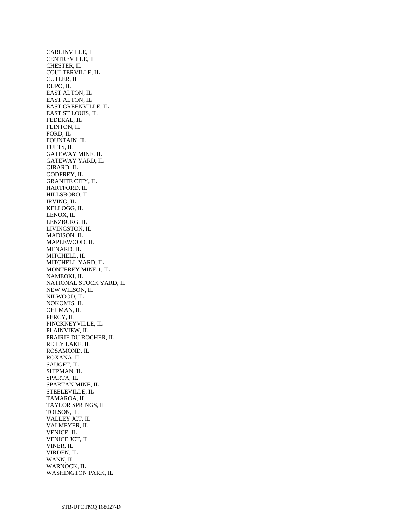CARLINVILLE, IL CENTREVILLE, IL CHESTER, IL COULTERVILLE, IL CUTLER, IL DUPO, IL EAST ALTON, IL EAST ALTON, IL EAST GREENVILLE, IL EAST ST LOUIS, IL FEDERAL, IL FLINTON, IL FORD, IL FOUNTAIN, IL FULTS, IL GATEWAY MINE, IL GATEWAY YARD, IL GIRARD, IL GODFREY, IL GRANITE CITY, IL HARTFORD, IL HILLSBORO, IL IRVING, IL KELLOGG, IL LENOX, IL LENZBURG, IL LIVINGSTON, IL MADISON, IL MAPLEWOOD, IL MENARD, IL MITCHELL, IL MITCHELL YARD, IL MONTEREY MINE 1, IL NAMEOKI, IL NATIONAL STOCK YARD, IL NEW WILSON, IL NILWOOD, IL NOKOMIS, IL OHLMAN, IL PERCY, IL PINCKNEYVILLE, IL PLAINVIEW, IL PRAIRIE DU ROCHER, IL REILY LAKE, IL ROSAMOND, IL ROXANA, IL SAUGET, IL SHIPMAN, IL SPARTA, IL SPARTAN MINE, IL STEELEVILLE, IL TAMAROA, IL TAYLOR SPRINGS, IL TOLSON, IL VALLEY JCT, IL VALMEYER, IL VENICE, IL VENICE JCT, IL VINER, IL VIRDEN, IL WANN, IL WARNOCK, IL WASHINGTON PARK, IL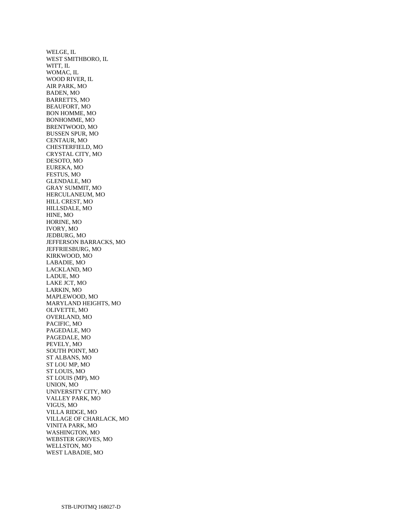WELGE, IL WEST SMITHBORO, IL WITT, IL WOMAC, IL WOOD RIVER, IL AIR PARK, MO BADEN, MO BARRETTS, MO BEAUFORT, MO BON HOMME, MO BONHOMME, MO BRENTWOOD, MO BUSSEN SPUR, MO CENTAUR, MO CHESTERFIELD, MO CRYSTAL CITY, MO DESOTO, MO EUREKA, MO FESTUS, MO GLENDALE, MO GRAY SUMMIT, MO HERCULANEUM, MO HILL CREST, MO HILLSDALE, MO HINE, MO HORINE, MO IVORY, MO JEDBURG, MO JEFFERSON BARRACKS, MO JEFFRIESBURG, MO KIRKWOOD, MO LABADIE, MO LACKLAND, MO LADUE, MO LAKE JCT, MO LARKIN, MO MAPLEWOOD, MO MARYLAND HEIGHTS, MO OLIVETTE, MO OVERLAND, MO PACIFIC, MO PAGEDALE, MO PAGEDALE, MO PEVELY, MO SOUTH POINT, MO ST ALBANS, MO ST LOU MP, MO ST LOUIS, MO ST LOUIS (MP), MO UNION, MO UNIVERSITY CITY, MO VALLEY PARK, MO VIGUS, MO VILLA RIDGE, MO VILLAGE OF CHARLACK, MO VINITA PARK, MO WASHINGTON, MO WEBSTER GROVES, MO WELLSTON, MO WEST LABADIE, MO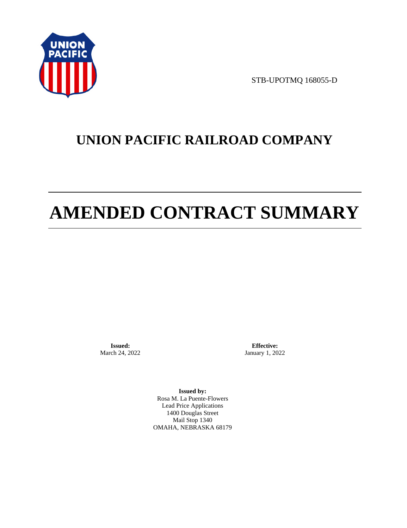

STB-UPOTMQ 168055-D

# **UNION PACIFIC RAILROAD COMPANY**

# **AMENDED CONTRACT SUMMARY**

**Issued:**  March 24, 2022

**Effective:** January 1, 2022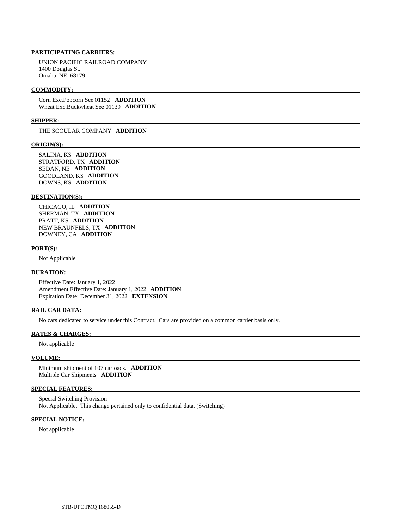UNION PACIFIC RAILROAD COMPANY 1400 Douglas St. Omaha, NE 68179

#### **COMMODITY:**

 Corn Exc.Popcorn See 01152 **ADDITION**  Wheat Exc.Buckwheat See 01139 **ADDITION** 

#### **SHIPPER:**

THE SCOULAR COMPANY **ADDITION** 

#### **ORIGIN(S):**

 SALINA, KS **ADDITION**  STRATFORD, TX **ADDITION**  SEDAN, NE **ADDITION**  GOODLAND, KS **ADDITION**  DOWNS, KS **ADDITION** 

#### **DESTINATION(S):**

 CHICAGO, IL **ADDITION**  SHERMAN, TX **ADDITION**  PRATT, KS **ADDITION**  NEW BRAUNFELS, TX **ADDITION**  DOWNEY, CA **ADDITION** 

#### **PORT(S):**

Not Applicable

### **DURATION:**

 Effective Date: January 1, 2022 Amendment Effective Date: January 1, 2022 **ADDITION**  Expiration Date: December 31, 2022 **EXTENSION** 

#### **RAIL CAR DATA:**

No cars dedicated to service under this Contract. Cars are provided on a common carrier basis only.

#### **RATES & CHARGES:**

Not applicable

### **VOLUME:**

 Minimum shipment of 107 carloads. **ADDITION**  Multiple Car Shipments **ADDITION** 

#### **SPECIAL FEATURES:**

 Special Switching Provision Not Applicable. This change pertained only to confidential data. (Switching)

# **SPECIAL NOTICE:**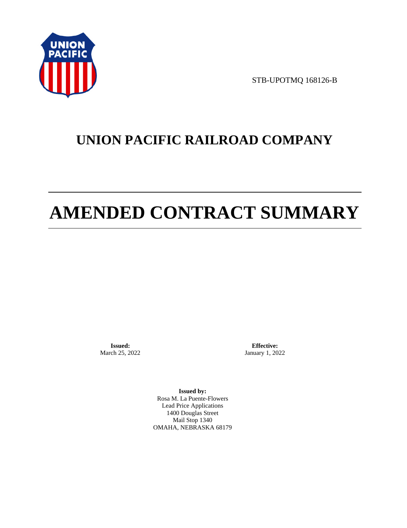

STB-UPOTMQ 168126-B

# **UNION PACIFIC RAILROAD COMPANY**

# **AMENDED CONTRACT SUMMARY**

**Issued:**  March 25, 2022

**Effective:** January 1, 2022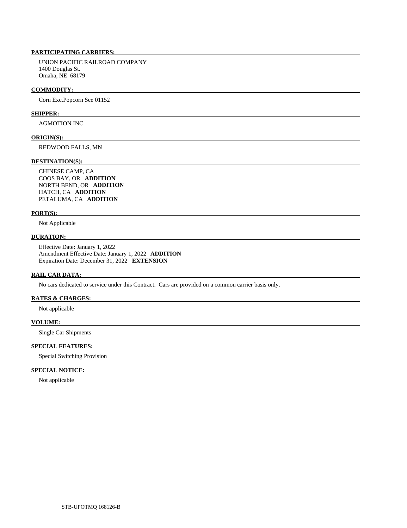UNION PACIFIC RAILROAD COMPANY 1400 Douglas St. Omaha, NE 68179

#### **COMMODITY:**

Corn Exc.Popcorn See 01152

#### **SHIPPER:**

AGMOTION INC

#### **ORIGIN(S):**

REDWOOD FALLS, MN

#### **DESTINATION(S):**

 CHINESE CAMP, CA COOS BAY, OR **ADDITION**  NORTH BEND, OR **ADDITION**  HATCH, CA **ADDITION**  PETALUMA, CA **ADDITION** 

#### **PORT(S):**

Not Applicable

# **DURATION:**

 Effective Date: January 1, 2022 Amendment Effective Date: January 1, 2022 **ADDITION**  Expiration Date: December 31, 2022 **EXTENSION** 

### **RAIL CAR DATA:**

No cars dedicated to service under this Contract. Cars are provided on a common carrier basis only.

# **RATES & CHARGES:**

Not applicable

# **VOLUME:**

Single Car Shipments

# **SPECIAL FEATURES:**

Special Switching Provision

## **SPECIAL NOTICE:**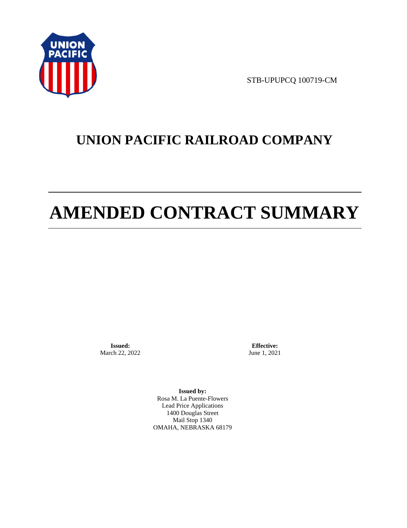

STB-UPUPCQ 100719-CM

# **UNION PACIFIC RAILROAD COMPANY**

# **AMENDED CONTRACT SUMMARY**

**Issued:**  March 22, 2022

**Effective:** June 1, 2021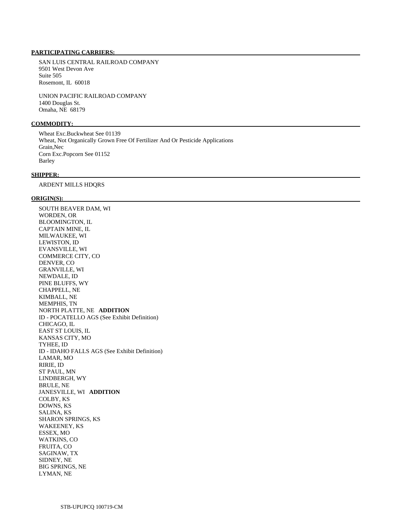SAN LUIS CENTRAL RAILROAD COMPANY 9501 West Devon Ave Suite 505 Rosemont, IL 60018

 UNION PACIFIC RAILROAD COMPANY 1400 Douglas St. Omaha, NE 68179

# **COMMODITY:**

 Wheat Exc.Buckwheat See 01139 Wheat, Not Organically Grown Free Of Fertilizer And Or Pesticide Applications Grain,Nec Corn Exc.Popcorn See 01152 Barley

# **SHIPPER:**

ARDENT MILLS HDQRS

#### **ORIGIN(S):**

 SOUTH BEAVER DAM, WI WORDEN, OR BLOOMINGTON, IL CAPTAIN MINE, IL MILWAUKEE, WI LEWISTON, ID EVANSVILLE, WI COMMERCE CITY, CO DENVER, CO GRANVILLE, WI NEWDALE, ID PINE BLUFFS, WY CHAPPELL, NE KIMBALL, NE MEMPHIS, TN NORTH PLATTE, NE **ADDITION**  ID - POCATELLO AGS (See Exhibit Definition) CHICAGO, IL EAST ST LOUIS, IL KANSAS CITY, MO TYHEE, ID ID - IDAHO FALLS AGS (See Exhibit Definition) LAMAR, MO RIRIE, ID ST PAUL, MN LINDBERGH, WY BRULE, NE JANESVILLE, WI **ADDITION**  COLBY, KS DOWNS, KS SALINA, KS SHARON SPRINGS, KS WAKEENEY, KS ESSEX, MO WATKINS, CO FRUITA, CO SAGINAW, TX SIDNEY, NE BIG SPRINGS, NE LYMAN, NE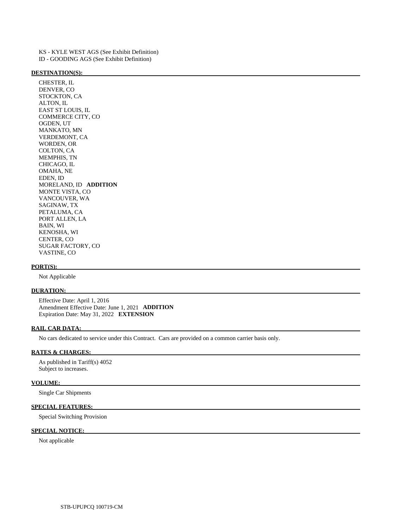KS - KYLE WEST AGS (See Exhibit Definition) ID - GOODING AGS (See Exhibit Definition)

#### **DESTINATION(S):**

 CHESTER, IL DENVER, CO STOCKTON, CA ALTON, IL EAST ST LOUIS, IL COMMERCE CITY, CO OGDEN, UT MANKATO, MN VERDEMONT, CA WORDEN, OR COLTON, CA MEMPHIS, TN CHICAGO, IL OMAHA, NE EDEN, ID MORELAND, ID **ADDITION**  MONTE VISTA, CO VANCOUVER, WA SAGINAW, TX PETALUMA, CA PORT ALLEN, LA BAIN, WI KENOSHA, WI CENTER, CO SUGAR FACTORY, CO VASTINE, CO

#### **PORT(S):**

Not Applicable

# **DURATION:**

 Effective Date: April 1, 2016 Amendment Effective Date: June 1, 2021 **ADDITION**  Expiration Date: May 31, 2022 **EXTENSION** 

#### **RAIL CAR DATA:**

No cars dedicated to service under this Contract. Cars are provided on a common carrier basis only.

## **RATES & CHARGES:**

 As published in Tariff(s) 4052 Subject to increases.

#### **VOLUME:**

Single Car Shipments

# **SPECIAL FEATURES:**

Special Switching Provision

# **SPECIAL NOTICE:**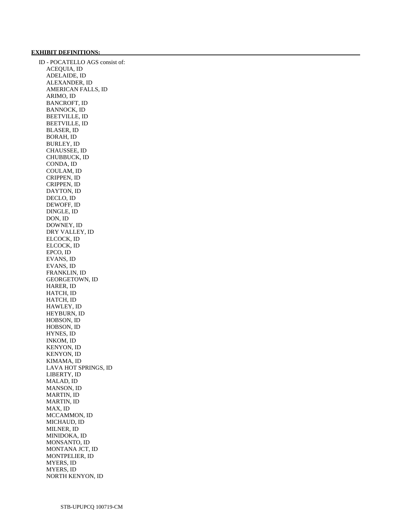### **EXHIBIT DEFINITIONS:**

 ID - POCATELLO AGS consist of: ACEQUIA, ID ADELAIDE, ID ALEXANDER, ID AMERICAN FALLS, ID ARIMO, ID BANCROFT, ID BANNOCK, ID BEETVILLE, ID BEETVILLE, ID BLASER, ID BORAH, ID BURLEY, ID CHAUSSEE, ID CHUBBUCK, ID CONDA, ID COULAM, ID CRIPPEN, ID CRIPPEN, ID DAYTON, ID DECLO, ID DEWOFF, ID DINGLE, ID DON, ID DOWNEY, ID DRY VALLEY, ID ELCOCK, ID ELCOCK, ID EPCO, ID EVANS, ID EVANS, ID FRANKLIN, ID GEORGETOWN, ID HARER, ID HATCH, ID HATCH, ID HAWLEY, ID HEYBURN, ID HOBSON, ID HOBSON, ID HYNES, ID INKOM, ID KENYON, ID KENYON, ID KIMAMA, ID LAVA HOT SPRINGS, ID LIBERTY, ID MALAD, ID MANSON, ID MARTIN, ID MARTIN, ID MAX, ID MCCAMMON, ID MICHAUD, ID MILNER, ID MINIDOKA, ID MONSANTO, ID MONTANA JCT, ID MONTPELIER, ID MYERS, ID MYERS, ID NORTH KENYON, ID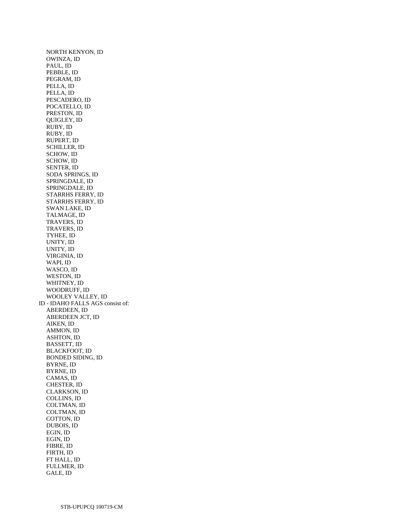NORTH KENYON, ID OWINZA, ID PAUL, ID PEBBLE, ID PEGRAM, ID PELLA, ID PELLA, ID PESCADERO, ID POCATELLO, ID PRESTON, ID QUIGLEY, ID RUBY, ID RUBY, ID RUPERT, ID SCHILLER, ID SCHOW, ID SCHOW, ID SENTER, ID SODA SPRINGS, ID SPRINGDALE, ID SPRINGDALE, ID STARRHS FERRY, ID STARRHS FERRY, ID SWAN LAKE, ID TALMAGE, ID TRAVERS, ID TRAVERS, ID TYHEE, ID UNITY, ID UNITY, ID VIRGINIA, ID WAPI, ID WASCO, ID WESTON, ID WHITNEY, ID WOODRUFF, ID WOOLEY VALLEY, ID ID - IDAHO FALLS AGS consist of: ABERDEEN, ID ABERDEEN JCT, ID AIKEN, ID AMMON, ID ASHTON, ID BASSETT, ID BLACKFOOT, ID BONDED SIDING, ID BYRNE, ID BYRNE, ID CAMAS, ID CHESTER, ID CLARKSON, ID COLLINS, ID COLTMAN, ID COLTMAN, ID COTTON, ID DUBOIS, ID EGIN, ID EGIN, ID FIBRE, ID FIRTH, ID FT HALL, ID FULLMER, ID GALE, ID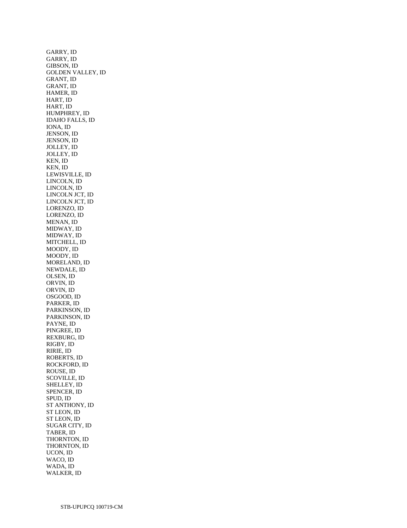GARRY, ID GARRY, ID GIBSON, ID GOLDEN VALLEY, ID GRANT, ID GRANT, ID HAMER, ID HART, ID HART, ID HUMPHREY, ID IDAHO FALLS, ID IONA, ID JENSON, ID JENSON, ID JOLLEY, ID JOLLEY, ID KEN, ID KEN, ID LEWISVILLE, ID LINCOLN, ID LINCOLN, ID LINCOLN JCT, ID LINCOLN JCT, ID LORENZO, ID LORENZO, ID MENAN, ID MIDWAY, ID MIDWAY, ID MITCHELL, ID MOODY, ID MOODY, ID MORELAND, ID NEWDALE, ID OLSEN, ID ORVIN, ID ORVIN, ID OSGOOD, ID PARKER, ID PARKINSON, ID PARKINSON, ID PAYNE, ID PINGREE, ID REXBURG, ID RIGBY, ID RIRIE, ID ROBERTS, ID ROCKFORD, ID ROUSE, ID SCOVILLE, ID SHELLEY, ID SPENCER, ID SPUD, ID ST ANTHONY, ID ST LEON, ID ST LEON, ID SUGAR CITY, ID TABER, ID THORNTON, ID THORNTON, ID UCON, ID WACO, ID WADA, ID WALKER, ID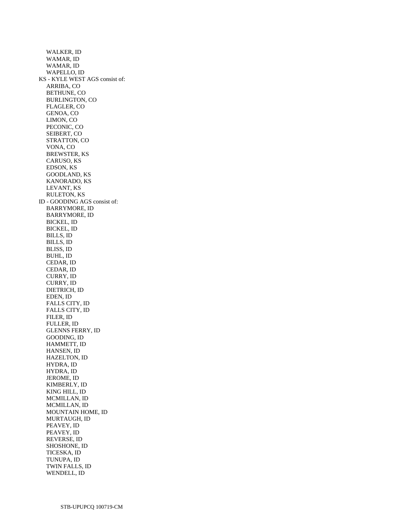WALKER, ID WAMAR, ID WAMAR, ID WAPELLO, ID KS - KYLE WEST AGS consist of: ARRIBA, CO BETHUNE, CO BURLINGTON, CO FLAGLER, CO GENOA, CO LIMON, CO PECONIC, CO SEIBERT, CO STRATTON, CO VONA, CO BREWSTER, KS CARUSO, KS EDSON, KS GOODLAND, KS KANORADO, KS LEVANT, KS RULETON, KS ID - GOODING AGS consist of: BARRYMORE, ID BARRYMORE, ID BICKEL, ID BICKEL, ID BILLS, ID BILLS, ID BLISS, ID BUHL, ID CEDAR, ID CEDAR, ID CURRY, ID CURRY, ID DIETRICH, ID EDEN, ID FALLS CITY, ID FALLS CITY, ID FILER, ID FULLER, ID GLENNS FERRY, ID GOODING, ID HAMMETT, ID HANSEN, ID HAZELTON, ID HYDRA, ID HYDRA, ID JEROME, ID KIMBERLY, ID KING HILL, ID MCMILLAN, ID MCMILLAN, ID MOUNTAIN HOME, ID MURTAUGH, ID PEAVEY, ID PEAVEY, ID REVERSE, ID SHOSHONE, ID TICESKA, ID TUNUPA, ID TWIN FALLS, ID WENDELL, ID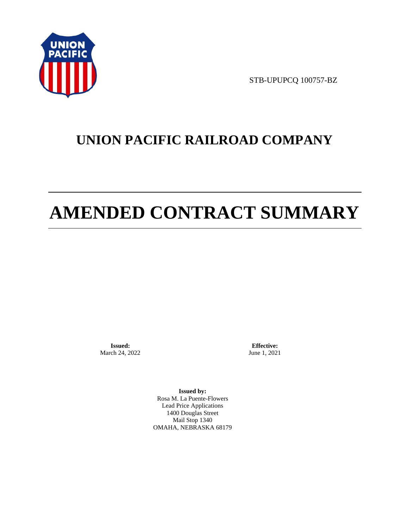

STB-UPUPCQ 100757-BZ

# **UNION PACIFIC RAILROAD COMPANY**

# **AMENDED CONTRACT SUMMARY**

**Issued:**  March 24, 2022

**Effective:** June 1, 2021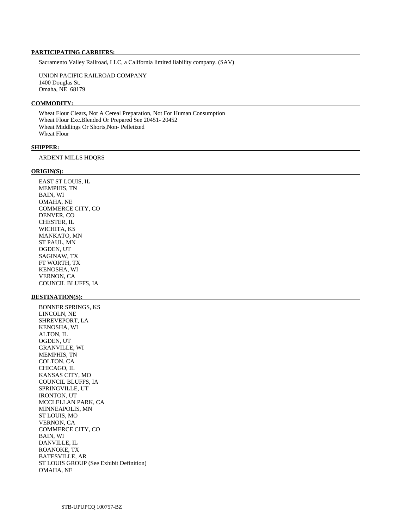Sacramento Valley Railroad, LLC, a California limited liability company. (SAV)

 UNION PACIFIC RAILROAD COMPANY 1400 Douglas St. Omaha, NE 68179

#### **COMMODITY:**

 Wheat Flour Clears, Not A Cereal Preparation, Not For Human Consumption Wheat Flour Exc.Blended Or Prepared See 20451- 20452 Wheat Middlings Or Shorts,Non- Pelletized Wheat Flour

#### **SHIPPER:**

ARDENT MILLS HDQRS

#### **ORIGIN(S):**

 EAST ST LOUIS, IL MEMPHIS, TN BAIN, WI OMAHA, NE COMMERCE CITY, CO DENVER, CO CHESTER, IL WICHITA, KS MANKATO, MN ST PAUL, MN OGDEN, UT SAGINAW, TX FT WORTH, TX KENOSHA, WI VERNON, CA COUNCIL BLUFFS, IA

#### **DESTINATION(S):**

 BONNER SPRINGS, KS LINCOLN, NE SHREVEPORT, LA KENOSHA, WI ALTON, IL OGDEN, UT GRANVILLE, WI MEMPHIS, TN COLTON, CA CHICAGO, IL KANSAS CITY, MO COUNCIL BLUFFS, IA SPRINGVILLE, UT IRONTON, UT MCCLELLAN PARK, CA MINNEAPOLIS, MN ST LOUIS, MO VERNON, CA COMMERCE CITY, CO BAIN, WI DANVILLE, IL ROANOKE, TX BATESVILLE, AR ST LOUIS GROUP (See Exhibit Definition) OMAHA, NE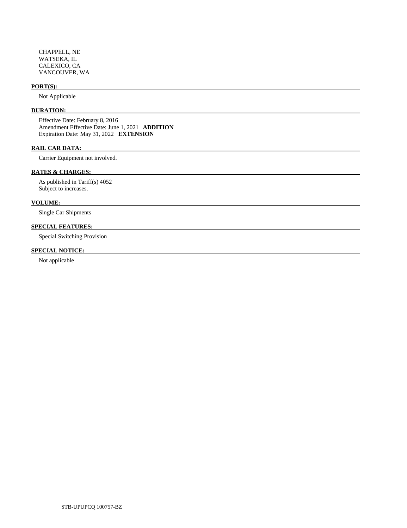CHAPPELL, NE WATSEKA, IL CALEXICO, CA VANCOUVER, WA

# **PORT(S):**

Not Applicable

# **DURATION:**

 Effective Date: February 8, 2016 Amendment Effective Date: June 1, 2021 **ADDITION**  Expiration Date: May 31, 2022 **EXTENSION** 

# **RAIL CAR DATA:**

Carrier Equipment not involved.

# **RATES & CHARGES:**

 As published in Tariff(s) 4052 Subject to increases.

# **VOLUME:**

Single Car Shipments

# **SPECIAL FEATURES:**

Special Switching Provision

# **SPECIAL NOTICE:**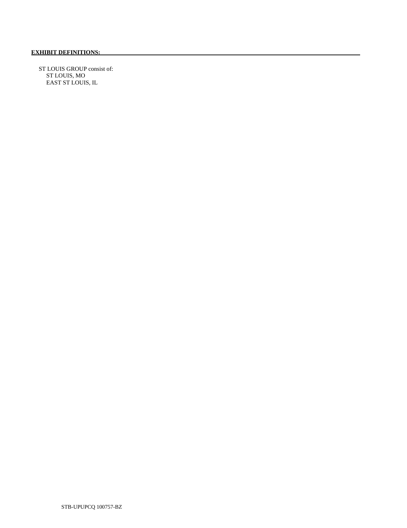ST LOUIS GROUP consist of: ST LOUIS, MO EAST ST LOUIS, IL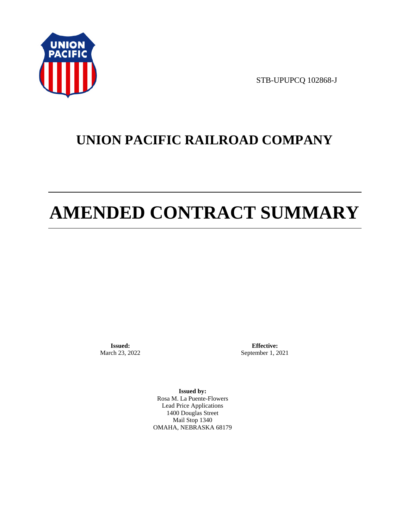

STB-UPUPCQ 102868-J

# **UNION PACIFIC RAILROAD COMPANY**

# **AMENDED CONTRACT SUMMARY**

**Issued:**  March 23, 2022

**Effective:** September 1, 2021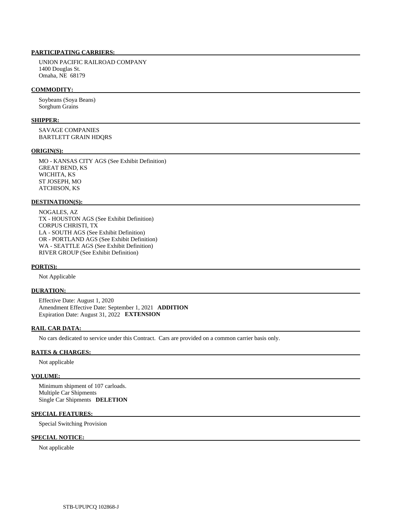UNION PACIFIC RAILROAD COMPANY 1400 Douglas St. Omaha, NE 68179

#### **COMMODITY:**

 Soybeans (Soya Beans) Sorghum Grains

# **SHIPPER:**

 SAVAGE COMPANIES BARTLETT GRAIN HDQRS

#### **ORIGIN(S):**

 MO - KANSAS CITY AGS (See Exhibit Definition) GREAT BEND, KS WICHITA, KS ST JOSEPH, MO ATCHISON, KS

#### **DESTINATION(S):**

 NOGALES, AZ TX - HOUSTON AGS (See Exhibit Definition) CORPUS CHRISTI, TX LA - SOUTH AGS (See Exhibit Definition) OR - PORTLAND AGS (See Exhibit Definition) WA - SEATTLE AGS (See Exhibit Definition) RIVER GROUP (See Exhibit Definition)

#### **PORT(S):**

Not Applicable

# **DURATION:**

 Effective Date: August 1, 2020 Amendment Effective Date: September 1, 2021 **ADDITION**  Expiration Date: August 31, 2022 **EXTENSION** 

#### **RAIL CAR DATA:**

No cars dedicated to service under this Contract. Cars are provided on a common carrier basis only.

#### **RATES & CHARGES:**

Not applicable

#### **VOLUME:**

 Minimum shipment of 107 carloads. Multiple Car Shipments Single Car Shipments **DELETION** 

#### **SPECIAL FEATURES:**

Special Switching Provision

# **SPECIAL NOTICE:**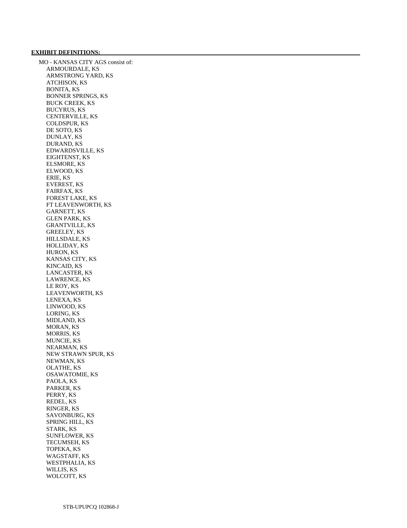### **EXHIBIT DEFINITIONS:**

 MO - KANSAS CITY AGS consist of: ARMOURDALE, KS ARMSTRONG YARD, KS ATCHISON, KS BONITA, KS BONNER SPRINGS, KS BUCK CREEK, KS BUCYRUS, KS CENTERVILLE, KS COLDSPUR, KS DE SOTO, KS DUNLAY, KS DURAND, KS EDWARDSVILLE, KS EIGHTENST, KS ELSMORE, KS ELWOOD, KS ERIE, KS EVEREST, KS FAIRFAX, KS FOREST LAKE, KS FT LEAVENWORTH, KS GARNETT, KS GLEN PARK, KS GRANTVILLE, KS GREELEY, KS HILLSDALE, KS HOLLIDAY, KS HURON, KS KANSAS CITY, KS KINCAID, KS LANCASTER, KS LAWRENCE, KS LE ROY, KS LEAVENWORTH, KS LENEXA, KS LINWOOD, KS LORING, KS MIDLAND, KS MORAN, KS MORRIS, KS MUNCIE, KS NEARMAN, KS NEW STRAWN SPUR, KS NEWMAN, KS OLATHE, KS OSAWATOMIE, KS PAOLA, KS PARKER, KS PERRY, KS REDEL, KS RINGER, KS SAVONBURG, KS SPRING HILL, KS STARK, KS SUNFLOWER, KS TECUMSEH, KS TOPEKA, KS WAGSTAFF, KS WESTPHALIA, KS WILLIS, KS WOLCOTT, KS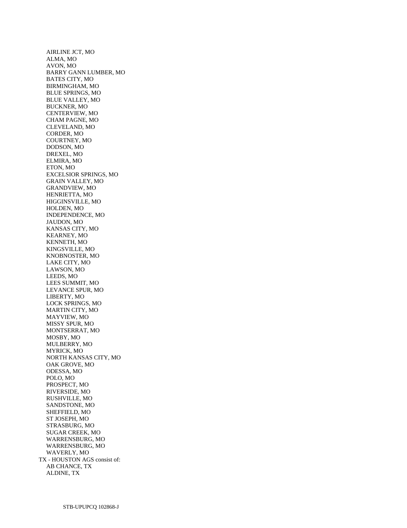AIRLINE JCT, MO ALMA, MO AVON, MO BARRY GANN LUMBER, MO BATES CITY, MO BIRMINGHAM, MO BLUE SPRINGS, MO BLUE VALLEY, MO BUCKNER, MO CENTERVIEW, MO CHAM PAGNE, MO CLEVELAND, MO CORDER, MO COURTNEY, MO DODSON, MO DREXEL, MO ELMIRA, MO ETON, MO EXCELSIOR SPRINGS, MO GRAIN VALLEY, MO GRANDVIEW, MO HENRIETTA, MO HIGGINSVILLE, MO HOLDEN, MO INDEPENDENCE, MO JAUDON, MO KANSAS CITY, MO KEARNEY, MO KENNETH, MO KINGSVILLE, MO KNOBNOSTER, MO LAKE CITY, MO LAWSON, MO LEEDS, MO LEES SUMMIT, MO LEVANCE SPUR, MO LIBERTY, MO LOCK SPRINGS, MO MARTIN CITY, MO MAYVIEW, MO MISSY SPUR, MO MONTSERRAT, MO MOSBY, MO MULBERRY, MO MYRICK, MO NORTH KANSAS CITY, MO OAK GROVE, MO ODESSA, MO POLO, MO PROSPECT, MO RIVERSIDE, MO RUSHVILLE, MO SANDSTONE, MO SHEFFIELD, MO ST JOSEPH, MO STRASBURG, MO SUGAR CREEK, MO WARRENSBURG, MO WARRENSBURG, MO WAVERLY, MO TX - HOUSTON AGS consist of: AB CHANCE, TX ALDINE, TX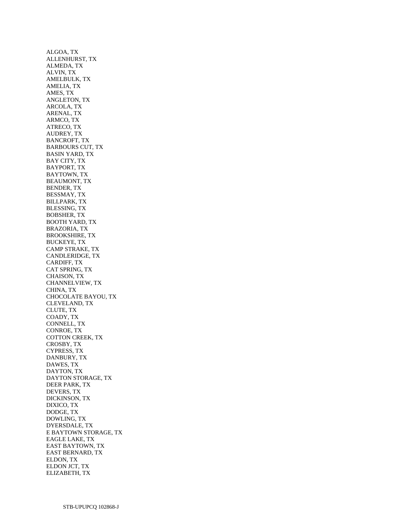ALGOA, TX ALLENHURST, TX ALMEDA, TX ALVIN, TX AMELBULK, TX AMELIA, TX AMES, TX ANGLETON, TX ARCOLA, TX ARENAL, TX ARMCO, TX ATRECO, TX AUDREY, TX BANCROFT, TX BARBOURS CUT, TX BASIN YARD, TX BAY CITY, TX BAYPORT, TX BAYTOWN, TX BEAUMONT, TX BENDER, TX BESSMAY, TX BILLPARK, TX BLESSING, TX BOBSHER, TX BOOTH YARD, TX BRAZORIA, TX BROOKSHIRE, TX BUCKEYE, TX CAMP STRAKE, TX CANDLERIDGE, TX CARDIFF, TX CAT SPRING, TX CHAISON, TX CHANNELVIEW, TX CHINA, TX CHOCOLATE BAYOU, TX CLEVELAND, TX CLUTE, TX COADY, TX CONNELL, TX CONROE, TX COTTON CREEK, TX CROSBY, TX CYPRESS, TX DANBURY, TX DAWES, TX DAYTON, TX DAYTON STORAGE, TX DEER PARK, TX DEVERS, TX DICKINSON, TX DIXICO, TX DODGE, TX DOWLING, TX DYERSDALE, TX E BAYTOWN STORAGE, TX EAGLE LAKE, TX EAST BAYTOWN, TX EAST BERNARD, TX ELDON, TX ELDON JCT, TX ELIZABETH, TX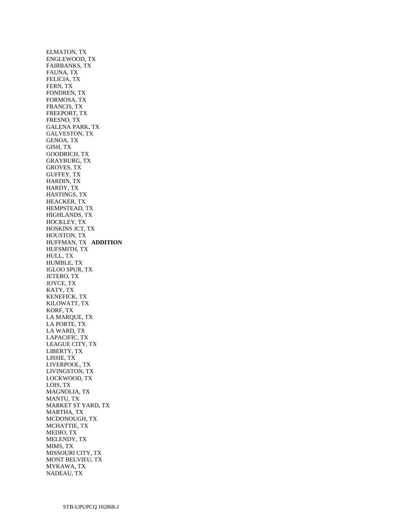ELMATON, TX ENGLEWOOD, TX FAIRBANKS, TX FAUNA, TX FELICIA, TX FERN, TX FONDREN, TX FORMOSA, TX FRANCIS, TX FREEPORT, TX FRESNO, TX GALENA PARK, TX GALVESTON, TX GENOA, TX GISH, TX GOODRICH, TX GRAYBURG, TX GROVES, TX GUFFEY, TX HARDIN, TX HARDY, TX HASTINGS, TX HEACKER, TX HEMPSTEAD, TX HIGHLANDS, TX HOCKLEY, TX HOSKINS JCT, TX HOUSTON, TX HUFFMAN, TX **ADDITION**  HUFSMITH, TX HULL, TX HUMBLE, TX IGLOO SPUR, TX JETERO, TX JOYCE, TX KATY, TX KENEFICK, TX KILOWATT, TX KORF, TX LA MARQUE, TX LA PORTE, TX LA WARD, TX LAPACIFIC, TX LEAGUE CITY, TX LIBERTY, TX LISSIE, TX LIVERPOOL, TX LIVINGSTON, TX LOCKWOOD, TX LOIS, TX MAGNOLIA, TX MANTU, TX MARKET ST YARD, TX MARTHA, TX MCDONOUGH, TX MCHATTIE, TX MEDIO, TX MELENDY, TX MIMS, TX MISSOURI CITY, TX MONT BELVIEU, TX MYKAWA, TX NADEAU, TX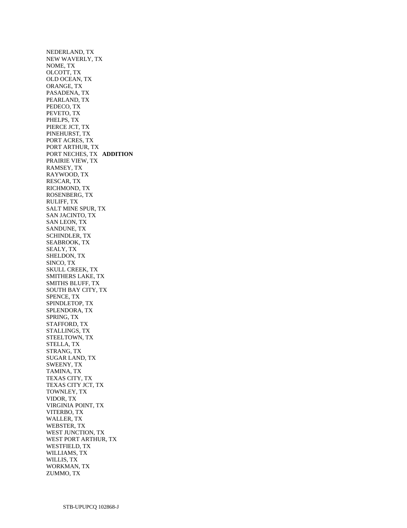NEDERLAND, TX NEW WAVERLY, TX NOME, TX OLCOTT, TX OLD OCEAN, TX ORANGE, TX PASADENA, TX PEARLAND, TX PEDECO, TX PEVETO, TX PHELPS, TX PIERCE JCT, TX PINEHURST, TX PORT ACRES, TX PORT ARTHUR, TX PORT NECHES, TX **ADDITION**  PRAIRIE VIEW, TX RAMSEY, TX RAYWOOD, TX RESCAR, TX RICHMOND, TX ROSENBERG, TX RULIFF, TX SALT MINE SPUR, TX SAN JACINTO, TX SAN LEON, TX SANDUNE, TX SCHINDLER, TX SEABROOK, TX SEALY, TX SHELDON, TX SINCO, TX SKULL CREEK, TX SMITHERS LAKE, TX SMITHS BLUFF, TX SOUTH BAY CITY, TX SPENCE, TX SPINDLETOP, TX SPLENDORA, TX SPRING, TX STAFFORD, TX STALLINGS, TX STEELTOWN, TX STELLA, TX STRANG, TX SUGAR LAND, TX SWEENY, TX TAMINA, TX TEXAS CITY, TX TEXAS CITY JCT, TX TOWNLEY, TX VIDOR, TX VIRGINIA POINT, TX VITERBO, TX WALLER, TX WEBSTER, TX WEST JUNCTION, TX WEST PORT ARTHUR, TX WESTFIELD, TX WILLIAMS, TX WILLIS, TX WORKMAN, TX ZUMMO, TX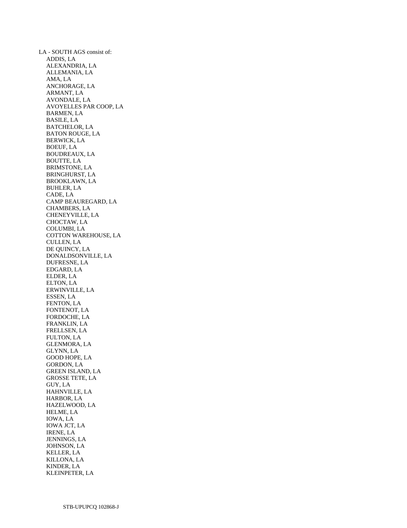LA - SOUTH AGS consist of: ADDIS, LA ALEXANDRIA, LA ALLEMANIA, LA AMA, LA ANCHORAGE, LA ARMANT, LA AVONDALE, LA AVOYELLES PAR COOP, LA BARMEN, LA BASILE, LA BATCHELOR, LA BATON ROUGE, LA BERWICK, LA BOEUF, LA BOUDREAUX, LA BOUTTE, LA BRIMSTONE, LA BRINGHURST, LA BROOKLAWN, LA BUHLER, LA CADE, LA CAMP BEAUREGARD, LA CHAMBERS, LA CHENEYVILLE, LA CHOCTAW, LA COLUMBI, LA COTTON WAREHOUSE, LA CULLEN, LA DE QUINCY, LA DONALDSONVILLE, LA DUFRESNE, LA EDGARD, LA ELDER, LA ELTON, LA ERWINVILLE, LA ESSEN, LA FENTON, LA FONTENOT, LA FORDOCHE, LA FRANKLIN, LA FRELLSEN, LA FULTON, LA GLENMORA, LA GLYNN, LA GOOD HOPE, LA GORDON, LA GREEN ISLAND, LA GROSSE TETE, LA GUY, LA HAHNVILLE, LA HARBOR, LA HAZELWOOD, LA HELME, LA IOWA, LA IOWA JCT, LA IRENE, LA JENNINGS, LA JOHNSON, LA KELLER, LA KILLONA, LA KINDER, LA KLEINPETER, LA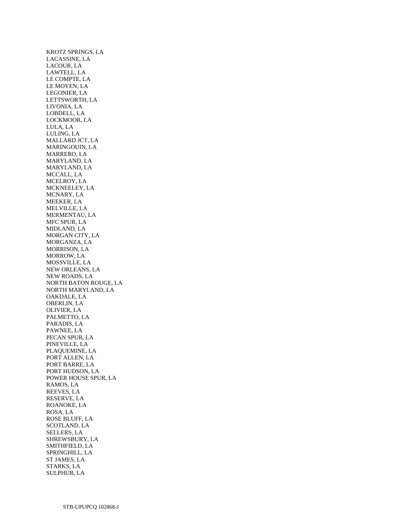KROTZ SPRINGS, LA LACASSINE, LA LACOUR, LA LAWTELL, LA LE COMPTE, LA LE MOYEN, LA LEGONIER, LA LETTSWORTH, LA LIVONIA, LA LOBDELL, LA LOCKMOOR, LA LULA, LA LULING, LA MALLARD JCT, LA MARINGOUIN, LA MARRERO, LA MARYLAND, LA MARYLAND, LA MCCALL, LA MCELROY, LA MCKNEELEY, LA MCNARY, LA MEEKER, LA MELVILLE, LA MERMENTAU, LA MFC SPUR, LA MIDLAND, LA MORGAN CITY, LA MORGANZA, LA MORRISON, LA MORROW, LA MOSSVILLE, LA NEW ORLEANS, LA NEW ROADS, LA NORTH BATON ROUGE, LA NORTH MARYLAND, LA OAKDALE, LA OBERLIN, LA OLIVIER, LA PALMETTO, LA PARADIS, LA PAWNEE, LA PECAN SPUR, LA PINEVILLE, LA PLAQUEMINE, LA PORT ALLEN, LA PORT BARRE, LA PORT HUDSON, LA POWER HOUSE SPUR, LA RAMOS, LA REEVES, LA RESERVE, LA ROANOKE, LA ROSA, LA ROSE BLUFF, LA SCOTLAND, LA SELLERS, LA SHREWSBURY, LA SMITHFIELD, LA SPRINGHILL, LA ST JAMES, LA STARKS, LA SULPHUR, LA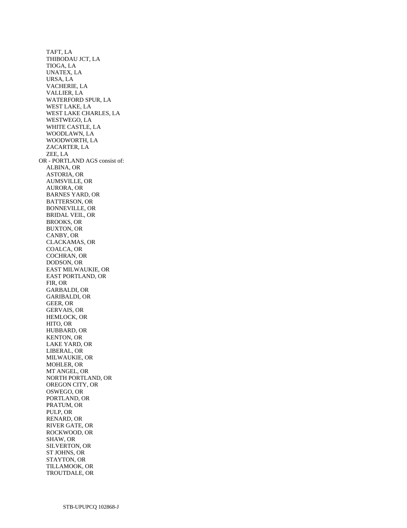TAFT, LA THIBODAU JCT, LA TIOGA, LA UNATEX, LA URSA, LA VACHERIE, LA VALLIER, LA WATERFORD SPUR, LA WEST LAKE, LA WEST LAKE CHARLES, LA WESTWEGO, LA WHITE CASTLE, LA WOODLAWN, LA WOODWORTH, LA ZACARTER, LA ZEE, LA OR - PORTLAND AGS consist of: ALBINA, OR ASTORIA, OR AUMSVILLE, OR AURORA, OR BARNES YARD, OR BATTERSON, OR BONNEVILLE, OR BRIDAL VEIL, OR BROOKS, OR BUXTON, OR CANBY, OR CLACKAMAS, OR COALCA, OR COCHRAN, OR DODSON, OR EAST MILWAUKIE, OR EAST PORTLAND, OR FIR, OR GARBALDI, OR GARIBALDI, OR GEER, OR GERVAIS, OR HEMLOCK, OR HITO, OR HUBBARD, OR KENTON, OR LAKE YARD, OR LIBERAL, OR MILWAUKIE, OR MOHLER, OR MT ANGEL, OR NORTH PORTLAND, OR OREGON CITY, OR OSWEGO, OR PORTLAND, OR PRATUM, OR PULP, OR RENARD, OR RIVER GATE, OR ROCKWOOD, OR SHAW, OR SILVERTON, OR ST JOHNS, OR STAYTON, OR TILLAMOOK, OR TROUTDALE, OR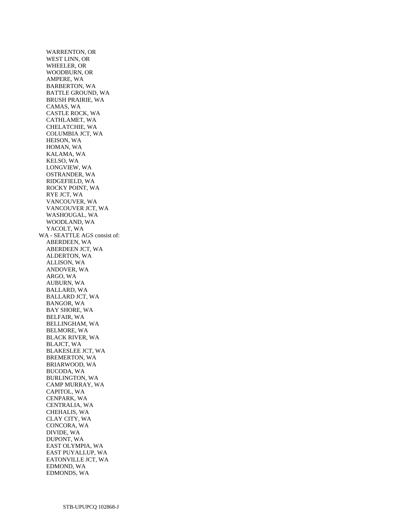WARRENTON, OR WEST LINN, OR WHEELER, OR WOODBURN, OR AMPERE, WA BARBERTON, WA BATTLE GROUND, WA BRUSH PRAIRIE, WA CAMAS, WA CASTLE ROCK, WA CATHLAMET, WA CHELATCHIE, WA COLUMBIA JCT, WA HEISON, WA HOMAN, WA KALAMA, WA KELSO, WA LONGVIEW, WA OSTRANDER, WA RIDGEFIELD, WA ROCKY POINT, WA RYE JCT, WA VANCOUVER, WA VANCOUVER JCT, WA WASHOUGAL, WA WOODLAND, WA YACOLT, WA WA - SEATTLE AGS consist of: ABERDEEN, WA ABERDEEN JCT, WA ALDERTON, WA ALLISON, WA ANDOVER, WA ARGO, WA AUBURN, WA BALLARD, WA BALLARD JCT, WA BANGOR, WA BAY SHORE, WA BELFAIR, WA BELLINGHAM, WA BELMORE, WA BLACK RIVER, WA BLAJCT, WA BLAKESLEE JCT, WA BREMERTON, WA BRIARWOOD, WA BUCODA, WA BURLINGTON, WA CAMP MURRAY, WA CAPITOL, WA CENPARK, WA CENTRALIA, WA CHEHALIS, WA CLAY CITY, WA CONCORA, WA DIVIDE, WA DUPONT, WA EAST OLYMPIA, WA EAST PUYALLUP, WA EATONVILLE JCT, WA EDMOND, WA EDMONDS, WA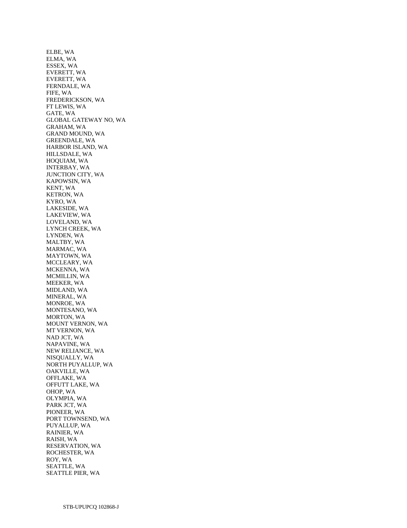ELBE, WA ELMA, WA ESSEX, WA EVERETT, WA EVERETT, WA FERNDALE, WA FIFE, WA FREDERICKSON, WA FT LEWIS, WA GATE, WA GLOBAL GATEWAY NO, WA GRAHAM, WA GRAND MOUND, WA GREENDALE, WA HARBOR ISLAND, WA HILLSDALE, WA HOQUIAM, WA INTERBAY, WA JUNCTION CITY, WA KAPOWSIN, WA KENT, WA KETRON, WA KYRO, WA LAKESIDE, WA LAKEVIEW, WA LOVELAND, WA LYNCH CREEK, WA LYNDEN, WA MALTBY, WA MARMAC, WA MAYTOWN, WA MCCLEARY, WA MCKENNA, WA MCMILLIN, WA MEEKER, WA MIDLAND, WA MINERAL, WA MONROE, WA MONTESANO, WA MORTON, WA MOUNT VERNON, WA MT VERNON, WA NAD JCT, WA NAPAVINE, WA NEW RELIANCE, WA NISQUALLY, WA NORTH PUYALLUP, WA OAKVILLE, WA OFFLAKE, WA OFFUTT LAKE, WA OHOP, WA OLYMPIA, WA PARK JCT, WA PIONEER, WA PORT TOWNSEND, WA PUYALLUP, WA RAINIER, WA RAISH, WA RESERVATION, WA ROCHESTER, WA ROY, WA SEATTLE, WA SEATTLE PIER, WA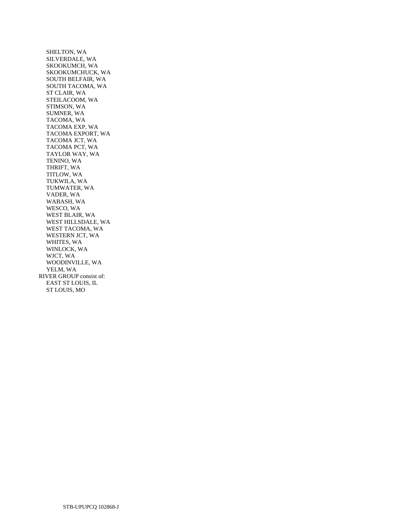SHELTON, WA SILVERDALE, WA SKOOKUMCH, WA SKOOKUMCHUCK, WA SOUTH BELFAIR, WA SOUTH TACOMA, WA ST CLAIR, WA STEILACOOM, WA STIMSON, WA SUMNER, WA TACOMA, WA TACOMA EXP, WA TACOMA EXPORT, WA TACOMA JCT, WA TACOMA PCT, WA TAYLOR WAY, WA TENINO, WA THRIFT, WA TITLOW, WA TUKWILA, WA TUMWATER, WA VADER, WA WABASH, WA WESCO, WA WEST BLAIR, WA WEST HILLSDALE, WA WEST TACOMA, WA WESTERN JCT, WA WHITES, WA WINLOCK, WA WJCT, WA WOODINVILLE, WA YELM, WA RIVER GROUP consist of: EAST ST LOUIS, IL ST LOUIS, MO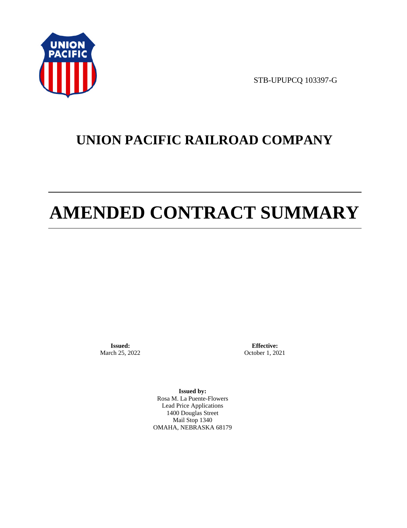

STB-UPUPCQ 103397-G

# **UNION PACIFIC RAILROAD COMPANY**

# **AMENDED CONTRACT SUMMARY**

**Issued:**  March 25, 2022

**Effective:** October 1, 2021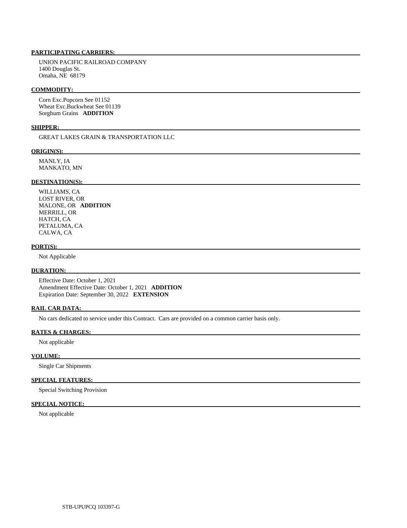UNION PACIFIC RAILROAD COMPANY 1400 Douglas St. Omaha, NE 68179

#### **COMMODITY:**

 Corn Exc.Popcorn See 01152 Wheat Exc.Buckwheat See 01139 Sorghum Grains **ADDITION** 

# **SHIPPER:**

GREAT LAKES GRAIN & TRANSPORTATION LLC

#### **ORIGIN(S):**

 MANLY, IA MANKATO, MN

# **DESTINATION(S):**

 WILLIAMS, CA LOST RIVER, OR MALONE, OR **ADDITION**  MERRILL, OR HATCH, CA PETALUMA, CA CALWA, CA

#### **PORT(S):**

Not Applicable

# **DURATION:**

 Effective Date: October 1, 2021 Amendment Effective Date: October 1, 2021 **ADDITION**  Expiration Date: September 30, 2022 **EXTENSION** 

#### **RAIL CAR DATA:**

No cars dedicated to service under this Contract. Cars are provided on a common carrier basis only.

# **RATES & CHARGES:**

Not applicable

#### **VOLUME:**

Single Car Shipments

# **SPECIAL FEATURES:**

Special Switching Provision

# **SPECIAL NOTICE:**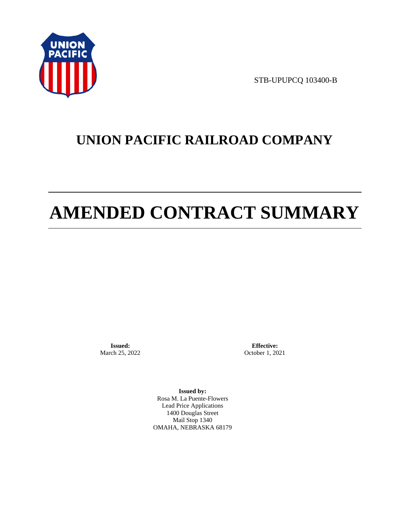

STB-UPUPCQ 103400-B

# **UNION PACIFIC RAILROAD COMPANY**

# **AMENDED CONTRACT SUMMARY**

**Issued:**  March 25, 2022

**Effective:** October 1, 2021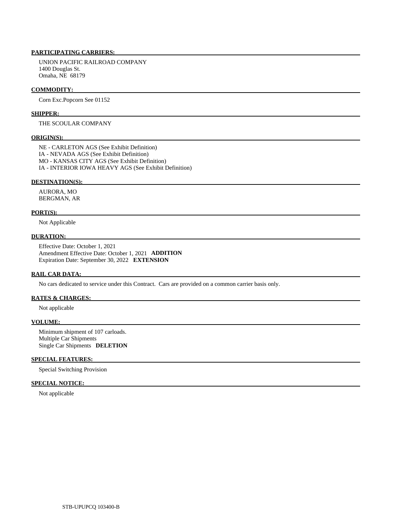UNION PACIFIC RAILROAD COMPANY 1400 Douglas St. Omaha, NE 68179

#### **COMMODITY:**

Corn Exc.Popcorn See 01152

#### **SHIPPER:**

# THE SCOULAR COMPANY

#### **ORIGIN(S):**

 NE - CARLETON AGS (See Exhibit Definition) IA - NEVADA AGS (See Exhibit Definition) MO - KANSAS CITY AGS (See Exhibit Definition) IA - INTERIOR IOWA HEAVY AGS (See Exhibit Definition)

#### **DESTINATION(S):**

 AURORA, MO BERGMAN, AR

#### **PORT(S):**

Not Applicable

# **DURATION:**

 Effective Date: October 1, 2021 Amendment Effective Date: October 1, 2021 **ADDITION**  Expiration Date: September 30, 2022 **EXTENSION** 

#### **RAIL CAR DATA:**

No cars dedicated to service under this Contract. Cars are provided on a common carrier basis only.

# **RATES & CHARGES:**

Not applicable

#### **VOLUME:**

 Minimum shipment of 107 carloads. Multiple Car Shipments Single Car Shipments **DELETION** 

# **SPECIAL FEATURES:**

Special Switching Provision

# **SPECIAL NOTICE:**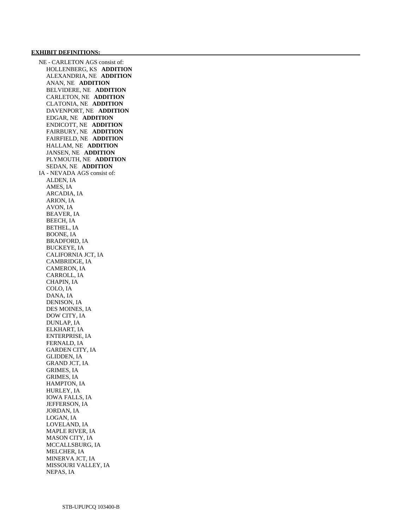#### **EXHIBIT DEFINITIONS:**

 NE - CARLETON AGS consist of: HOLLENBERG, KS **ADDITION**  ALEXANDRIA, NE **ADDITION**  ANAN, NE **ADDITION**  BELVIDERE, NE **ADDITION**  CARLETON, NE **ADDITION**  CLATONIA, NE **ADDITION**  DAVENPORT, NE **ADDITION**  EDGAR, NE **ADDITION**  ENDICOTT, NE **ADDITION**  FAIRBURY, NE **ADDITION**  FAIRFIELD, NE **ADDITION**  HALLAM, NE **ADDITION**  JANSEN, NE **ADDITION**  PLYMOUTH, NE **ADDITION**  SEDAN, NE **ADDITION**  IA - NEVADA AGS consist of: ALDEN, IA AMES, IA ARCADIA, IA ARION, IA AVON, IA BEAVER, IA BEECH, IA BETHEL, IA BOONE, IA BRADFORD, IA BUCKEYE, IA CALIFORNIA JCT, IA CAMBRIDGE, IA CAMERON, IA CARROLL, IA CHAPIN, IA COLO, IA DANA, IA DENISON, IA DES MOINES, IA DOW CITY, IA DUNLAP, IA ELKHART, IA ENTERPRISE, IA FERNALD, IA GARDEN CITY, IA GLIDDEN, IA GRAND JCT, IA GRIMES, IA GRIMES, IA HAMPTON, IA HURLEY, IA IOWA FALLS, IA JEFFERSON, IA JORDAN, IA LOGAN, IA LOVELAND, IA MAPLE RIVER, IA MASON CITY, IA MCCALLSBURG, IA MELCHER, IA MINERVA JCT, IA MISSOURI VALLEY, IA NEPAS, IA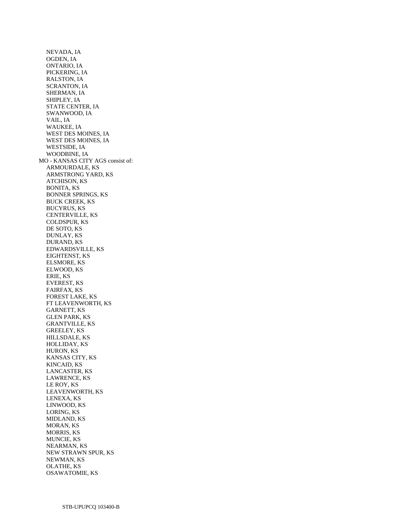NEVADA, IA OGDEN, IA ONTARIO, IA PICKERING, IA RALSTON, IA SCRANTON, IA SHERMAN, IA SHIPLEY, IA STATE CENTER, IA SWANWOOD, IA VAIL, IA WAUKEE, IA WEST DES MOINES, IA WEST DES MOINES, IA WESTSIDE, IA WOODBINE, IA MO - KANSAS CITY AGS consist of: ARMOURDALE, KS ARMSTRONG YARD, KS ATCHISON, KS BONITA, KS BONNER SPRINGS, KS BUCK CREEK, KS BUCYRUS, KS CENTERVILLE, KS COLDSPUR, KS DE SOTO, KS DUNLAY, KS DURAND, KS EDWARDSVILLE, KS EIGHTENST, KS ELSMORE, KS ELWOOD, KS ERIE, KS EVEREST, KS FAIRFAX, KS FOREST LAKE, KS FT LEAVENWORTH, KS GARNETT, KS GLEN PARK, KS GRANTVILLE, KS GREELEY, KS HILLSDALE, KS HOLLIDAY, KS HURON, KS KANSAS CITY, KS KINCAID, KS LANCASTER, KS LAWRENCE, KS LE ROY, KS LEAVENWORTH, KS LENEXA, KS LINWOOD, KS LORING, KS MIDLAND, KS MORAN, KS MORRIS, KS MUNCIE, KS NEARMAN, KS NEW STRAWN SPUR, KS NEWMAN, KS OLATHE, KS OSAWATOMIE, KS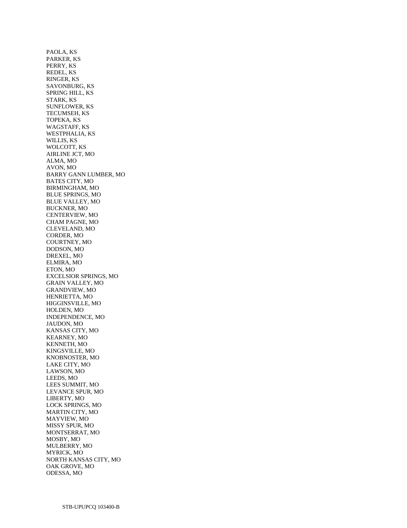PAOLA, KS PARKER, KS PERRY, KS REDEL, KS RINGER, KS SAVONBURG, KS SPRING HILL, KS STARK, KS SUNFLOWER, KS TECUMSEH, KS TOPEKA, KS WAGSTAFF, KS WESTPHALIA, KS WILLIS, KS WOLCOTT, KS AIRLINE JCT, MO ALMA, MO AVON, MO BARRY GANN LUMBER, MO BATES CITY, MO BIRMINGHAM, MO BLUE SPRINGS, MO BLUE VALLEY, MO BUCKNER, MO CENTERVIEW, MO CHAM PAGNE, MO CLEVELAND, MO CORDER, MO COURTNEY, MO DODSON, MO DREXEL, MO ELMIRA, MO ETON, MO EXCELSIOR SPRINGS, MO GRAIN VALLEY, MO GRANDVIEW, MO HENRIETTA, MO HIGGINSVILLE, MO HOLDEN, MO INDEPENDENCE, MO JAUDON, MO KANSAS CITY, MO KEARNEY, MO KENNETH, MO KINGSVILLE, MO KNOBNOSTER, MO LAKE CITY, MO LAWSON, MO LEEDS, MO LEES SUMMIT, MO LEVANCE SPUR, MO LIBERTY, MO LOCK SPRINGS, MO MARTIN CITY, MO MAYVIEW, MO MISSY SPUR, MO MONTSERRAT, MO MOSBY, MO MULBERRY, MO MYRICK, MO NORTH KANSAS CITY, MO OAK GROVE, MO ODESSA, MO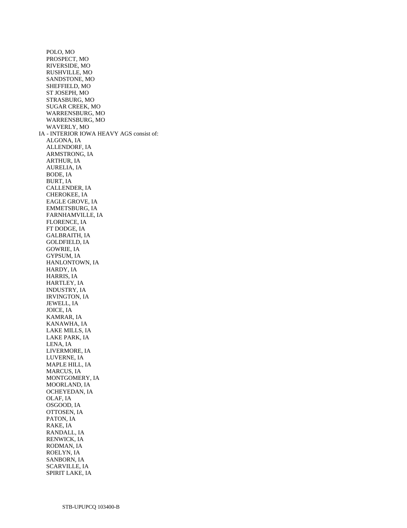POLO, MO PROSPECT, MO RIVERSIDE, MO RUSHVILLE, MO SANDSTONE, MO SHEFFIELD, MO ST JOSEPH, MO STRASBURG, MO SUGAR CREEK, MO WARRENSBURG, MO WARRENSBURG, MO WAVERLY, MO IA - INTERIOR IOWA HEAVY AGS consist of: ALGONA, IA ALLENDORF, IA ARMSTRONG, IA ARTHUR, IA AURELIA, IA BODE, IA BURT, IA CALLENDER, IA CHEROKEE, IA EAGLE GROVE, IA EMMETSBURG, IA FARNHAMVILLE, IA FLORENCE, IA FT DODGE, IA GALBRAITH, IA GOLDFIELD, IA GOWRIE, IA GYPSUM, IA HANLONTOWN, IA HARDY, IA HARRIS, IA HARTLEY, IA INDUSTRY, IA IRVINGTON, IA JEWELL, IA JOICE, IA KAMRAR, IA KANAWHA, IA LAKE MILLS, IA LAKE PARK, IA LENA, IA LIVERMORE, IA LUVERNE, IA MAPLE HILL, IA MARCUS, IA MONTGOMERY, IA MOORLAND, IA OCHEYEDAN, IA OLAF, IA OSGOOD, IA OTTOSEN, IA PATON, IA RAKE, IA RANDALL, IA RENWICK, IA RODMAN, IA ROELYN, IA SANBORN, IA SCARVILLE, IA SPIRIT LAKE, IA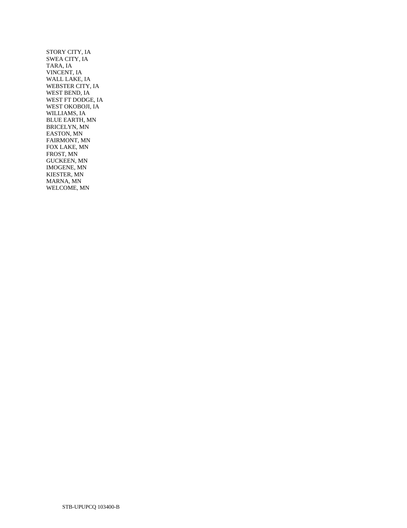STORY CITY, IA SWEA CITY, IA TARA, IA VINCENT, IA WALL LAKE, IA WEBSTER CITY, IA WEST BEND, IA WEST FT DODGE, IA WEST OKOBOJI, IA WILLIAMS, IA BLUE EARTH, MN BRICELYN, MN EASTON, MN FAIRMONT, MN FOX LAKE, MN FROST, MN GUCKEEN, MN IMOGENE, MN KIESTER, MN MARNA, MN WELCOME, MN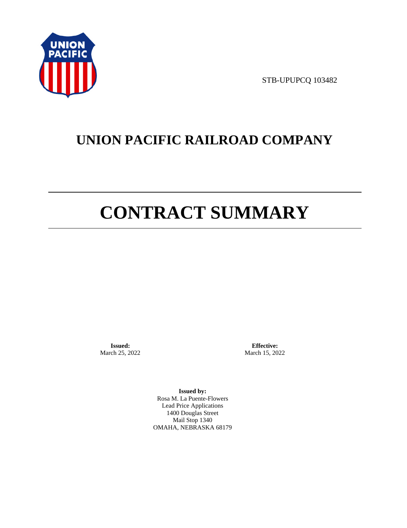

STB-UPUPCQ 103482

# **UNION PACIFIC RAILROAD COMPANY**

# **CONTRACT SUMMARY**

**Issued:**  March 25, 2022

**Effective:** March 15, 2022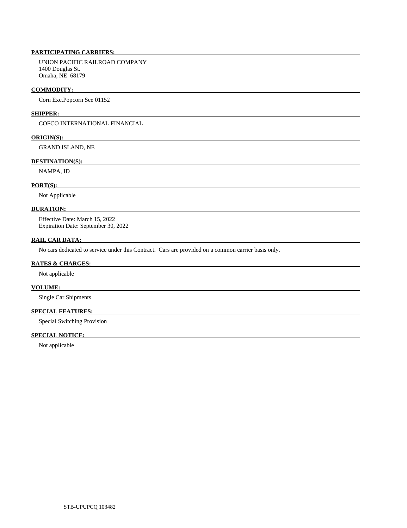UNION PACIFIC RAILROAD COMPANY 1400 Douglas St. Omaha, NE 68179

#### **COMMODITY:**

Corn Exc.Popcorn See 01152

# **SHIPPER:**

COFCO INTERNATIONAL FINANCIAL

# **ORIGIN(S):**

GRAND ISLAND, NE

### **DESTINATION(S):**

NAMPA, ID

# **PORT(S):**

Not Applicable

#### **DURATION:**

 Effective Date: March 15, 2022 Expiration Date: September 30, 2022

# **RAIL CAR DATA:**

No cars dedicated to service under this Contract. Cars are provided on a common carrier basis only.

#### **RATES & CHARGES:**

Not applicable

# **VOLUME:**

Single Car Shipments

# **SPECIAL FEATURES:**

Special Switching Provision

# **SPECIAL NOTICE:**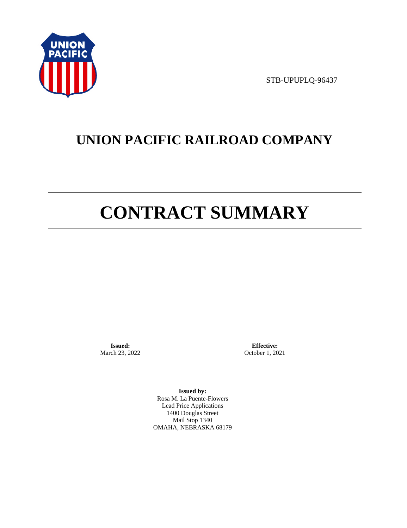

STB-UPUPLQ-96437

# **UNION PACIFIC RAILROAD COMPANY**

# **CONTRACT SUMMARY**

**Issued:**  March 23, 2022

**Effective:** October 1, 2021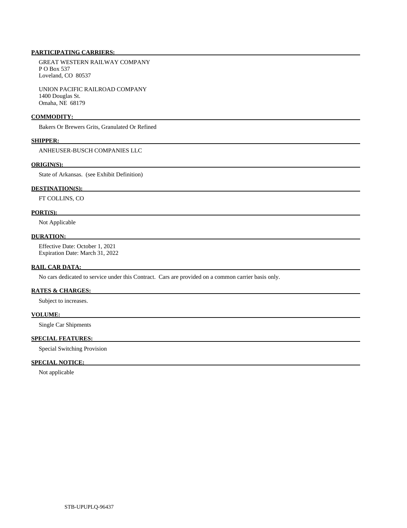GREAT WESTERN RAILWAY COMPANY P O Box 537 Loveland, CO 80537

 UNION PACIFIC RAILROAD COMPANY 1400 Douglas St. Omaha, NE 68179

#### **COMMODITY:**

Bakers Or Brewers Grits, Granulated Or Refined

#### **SHIPPER:**

ANHEUSER-BUSCH COMPANIES LLC

# **ORIGIN(S):**

State of Arkansas. (see Exhibit Definition)

# **DESTINATION(S):**

FT COLLINS, CO

#### **PORT(S):**

Not Applicable

# **DURATION:**

 Effective Date: October 1, 2021 Expiration Date: March 31, 2022

## **RAIL CAR DATA:**

No cars dedicated to service under this Contract. Cars are provided on a common carrier basis only.

# **RATES & CHARGES:**

Subject to increases.

# **VOLUME:**

Single Car Shipments

# **SPECIAL FEATURES:**

Special Switching Provision

# **SPECIAL NOTICE:**